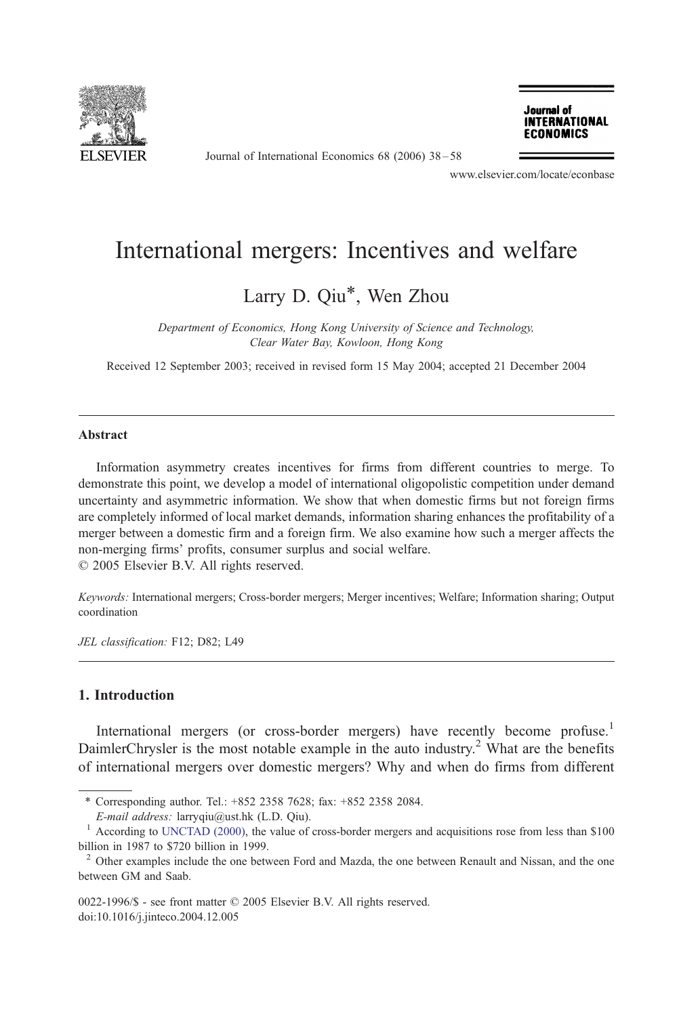

Journal of International Economics 68 (2006) 38 – 58

Journal of **INTERNATIONAL ECONOMICS** 

www.elsevier.com/locate/econbase

# International mergers: Incentives and welfare

# Larry D. Qiu\*, Wen Zhou

Department of Economics, Hong Kong University of Science and Technology, Clear Water Bay, Kowloon, Hong Kong

Received 12 September 2003; received in revised form 15 May 2004; accepted 21 December 2004

## Abstract

Information asymmetry creates incentives for firms from different countries to merge. To demonstrate this point, we develop a model of international oligopolistic competition under demand uncertainty and asymmetric information. We show that when domestic firms but not foreign firms are completely informed of local market demands, information sharing enhances the profitability of a merger between a domestic firm and a foreign firm. We also examine how such a merger affects the non-merging firms' profits, consumer surplus and social welfare.  $© 2005 Elsevier B.V. All rights reserved.$ 

Keywords: International mergers; Cross-border mergers; Merger incentives; Welfare; Information sharing; Output coordination

JEL classification: F12; D82; L49

## 1. Introduction

International mergers (or cross-border mergers) have recently become profuse.<sup>1</sup> DaimlerChrysler is the most notable example in the auto industry.<sup>2</sup> What are the benefits of international mergers over domestic mergers? Why and when do firms from different

0022-1996/\$ - see front matter © 2005 Elsevier B.V. All rights reserved. doi:10.1016/j.jinteco.2004.12.005

<sup>\*</sup> Corresponding author. Tel.: +852 2358 7628; fax: +852 2358 2084.

E-mail address: larryqiu@ust.hk (L.D. Qiu).  $1 \text{ According to UNCTAD}$  (2000), the value of cross-border mergers and acquisitions rose from less than \$100 billion in 1987 to \$720 billion in 1999.

<sup>&</sup>lt;sup>2</sup> Other examples include the one between Ford and Mazda, the one between Renault and Nissan, and the one between GM and Saab.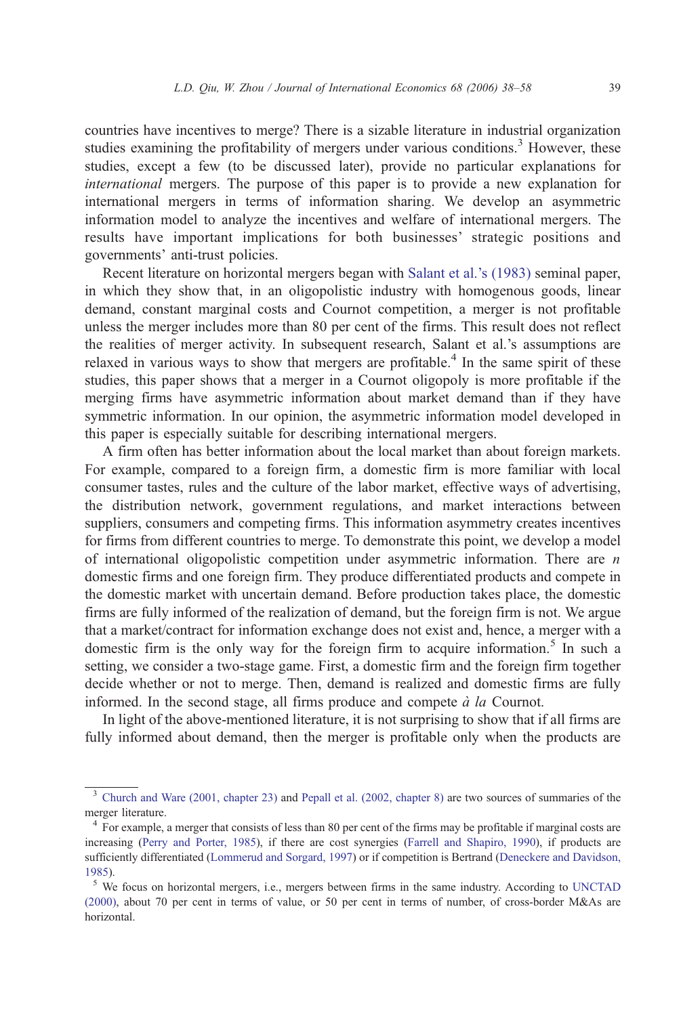countries have incentives to merge? There is a sizable literature in industrial organization studies examining the profitability of mergers under various conditions.<sup>3</sup> However, these studies, except a few (to be discussed later), provide no particular explanations for international mergers. The purpose of this paper is to provide a new explanation for international mergers in terms of information sharing. We develop an asymmetric information model to analyze the incentives and welfare of international mergers. The results have important implications for both businesses' strategic positions and governments' anti-trust policies.

Recent literature on horizontal mergers began with [Salant et al.'s \(1983\)](#page-20-0) seminal paper, in which they show that, in an oligopolistic industry with homogenous goods, linear demand, constant marginal costs and Cournot competition, a merger is not profitable unless the merger includes more than 80 per cent of the firms. This result does not reflect the realities of merger activity. In subsequent research, Salant et al.'s assumptions are relaxed in various ways to show that mergers are profitable.<sup>4</sup> In the same spirit of these studies, this paper shows that a merger in a Cournot oligopoly is more profitable if the merging firms have asymmetric information about market demand than if they have symmetric information. In our opinion, the asymmetric information model developed in this paper is especially suitable for describing international mergers.

A firm often has better information about the local market than about foreign markets. For example, compared to a foreign firm, a domestic firm is more familiar with local consumer tastes, rules and the culture of the labor market, effective ways of advertising, the distribution network, government regulations, and market interactions between suppliers, consumers and competing firms. This information asymmetry creates incentives for firms from different countries to merge. To demonstrate this point, we develop a model of international oligopolistic competition under asymmetric information. There are  $n$ domestic firms and one foreign firm. They produce differentiated products and compete in the domestic market with uncertain demand. Before production takes place, the domestic firms are fully informed of the realization of demand, but the foreign firm is not. We argue that a market/contract for information exchange does not exist and, hence, a merger with a domestic firm is the only way for the foreign firm to acquire information.<sup>5</sup> In such a setting, we consider a two-stage game. First, a domestic firm and the foreign firm together decide whether or not to merge. Then, demand is realized and domestic firms are fully informed. In the second stage, all firms produce and compete  $\dot{a}$  la Cournot.

In light of the above-mentioned literature, it is not surprising to show that if all firms are fully informed about demand, then the merger is profitable only when the products are

<sup>&</sup>lt;sup>3</sup> [Church and Ware \(2001, chapter 23\)](#page-19-0) and [Pepall et al. \(2002, chapter 8\)](#page-20-0) are two sources of summaries of the merger literature.

<sup>4</sup> For example, a merger that consists of less than 80 per cent of the firms may be profitable if marginal costs are increasing ([Perry and Porter, 1985\)](#page-20-0), if there are cost synergies ([Farrell and Shapiro, 1990\)](#page-19-0), if products are sufficiently differentiated ([Lommerud and Sorgard, 1997\)](#page-19-0) or if competition is Bertrand ([Deneckere and Davidson,](#page-19-0) 1985).

<sup>5</sup> We focus on horizontal mergers, i.e., mergers between firms in the same industry. According to [UNCTAD](#page-20-0) (2000), about 70 per cent in terms of value, or 50 per cent in terms of number, of cross-border M&As are horizontal.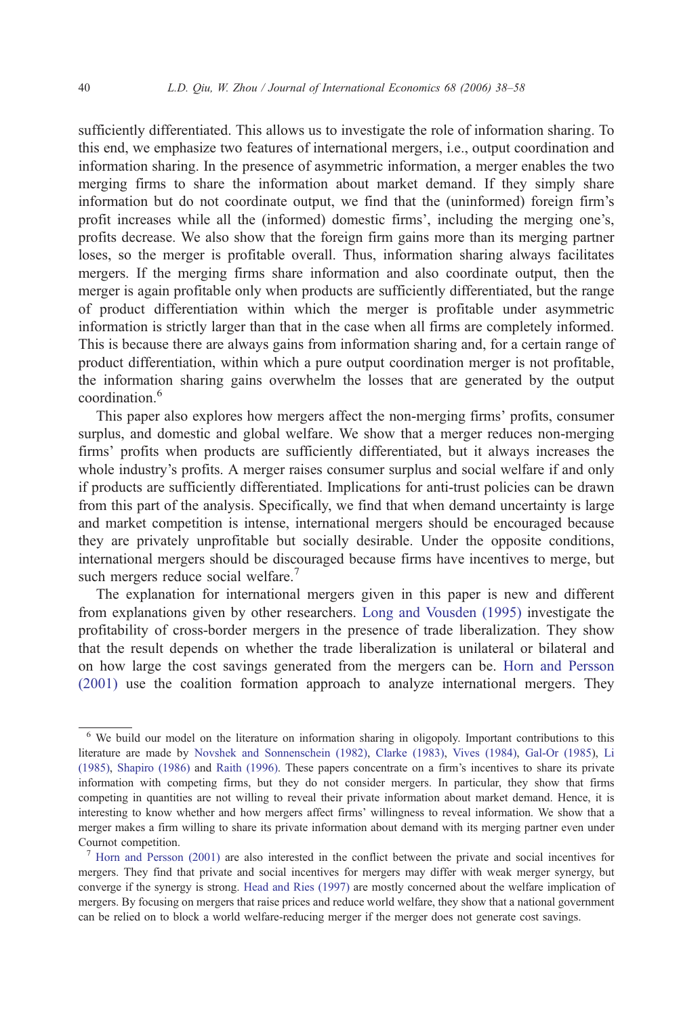sufficiently differentiated. This allows us to investigate the role of information sharing. To this end, we emphasize two features of international mergers, i.e., output coordination and information sharing. In the presence of asymmetric information, a merger enables the two merging firms to share the information about market demand. If they simply share information but do not coordinate output, we find that the (uninformed) foreign firm's profit increases while all the (informed) domestic firms', including the merging one's, profits decrease. We also show that the foreign firm gains more than its merging partner loses, so the merger is profitable overall. Thus, information sharing always facilitates mergers. If the merging firms share information and also coordinate output, then the merger is again profitable only when products are sufficiently differentiated, but the range of product differentiation within which the merger is profitable under asymmetric information is strictly larger than that in the case when all firms are completely informed. This is because there are always gains from information sharing and, for a certain range of product differentiation, within which a pure output coordination merger is not profitable, the information sharing gains overwhelm the losses that are generated by the output coordination.<sup>6</sup>

This paper also explores how mergers affect the non-merging firms' profits, consumer surplus, and domestic and global welfare. We show that a merger reduces non-merging firms' profits when products are sufficiently differentiated, but it always increases the whole industry's profits. A merger raises consumer surplus and social welfare if and only if products are sufficiently differentiated. Implications for anti-trust policies can be drawn from this part of the analysis. Specifically, we find that when demand uncertainty is large and market competition is intense, international mergers should be encouraged because they are privately unprofitable but socially desirable. Under the opposite conditions, international mergers should be discouraged because firms have incentives to merge, but such mergers reduce social welfare.<sup>7</sup>

The explanation for international mergers given in this paper is new and different from explanations given by other researchers. [Long and Vousden \(1995\)](#page-20-0) investigate the profitability of cross-border mergers in the presence of trade liberalization. They show that the result depends on whether the trade liberalization is unilateral or bilateral and on how large the cost savings generated from the mergers can be. [Horn and Persson](#page-19-0) (2001) use the coalition formation approach to analyze international mergers. They

<sup>6</sup> We build our model on the literature on information sharing in oligopoly. Important contributions to this literature are made by [Novshek and Sonnenschein \(1982\),](#page-20-0) [Clarke \(1983\),](#page-19-0) [Vives \(1984\),](#page-20-0) [Gal-Or \(1985\)](#page-19-0), [Li](#page-19-0) (1985), [Shapiro \(1986\)](#page-20-0) and [Raith \(1996\).](#page-20-0) These papers concentrate on a firm's incentives to share its private information with competing firms, but they do not consider mergers. In particular, they show that firms competing in quantities are not willing to reveal their private information about market demand. Hence, it is interesting to know whether and how mergers affect firms' willingness to reveal information. We show that a merger makes a firm willing to share its private information about demand with its merging partner even under Cournot competition.

 $<sup>7</sup>$  [Horn and Persson \(2001\)](#page-19-0) are also interested in the conflict between the private and social incentives for</sup> mergers. They find that private and social incentives for mergers may differ with weak merger synergy, but converge if the synergy is strong. [Head and Ries \(1997\)](#page-19-0) are mostly concerned about the welfare implication of mergers. By focusing on mergers that raise prices and reduce world welfare, they show that a national government can be relied on to block a world welfare-reducing merger if the merger does not generate cost savings.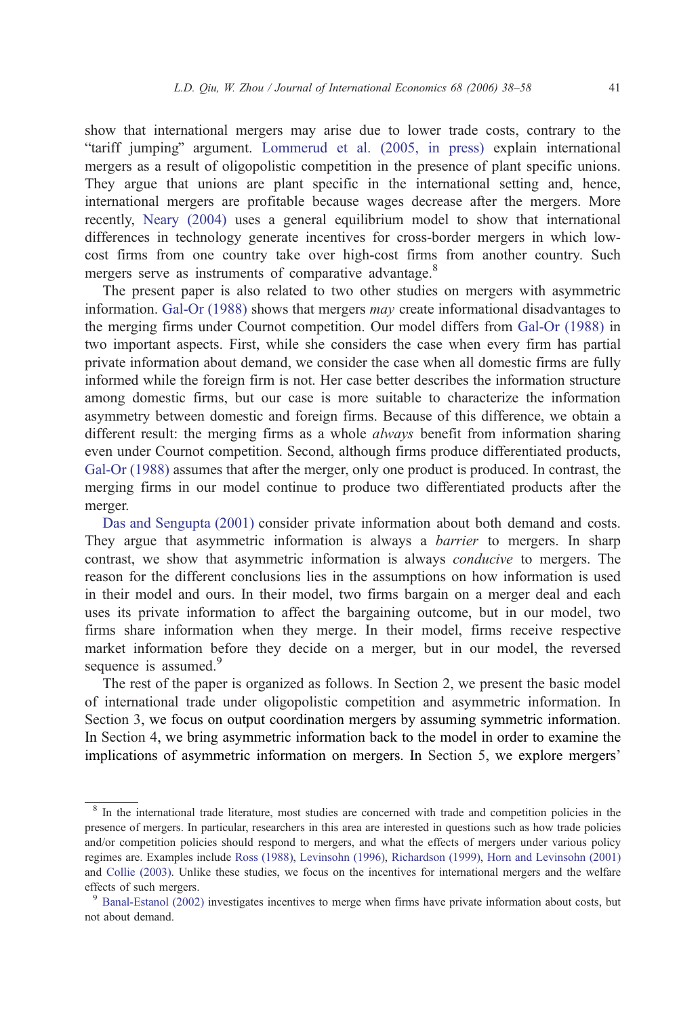show that international mergers may arise due to lower trade costs, contrary to the "tariff jumping" argument. [Lommerud et al. \(2005, in press\)](#page-20-0) explain international mergers as a result of oligopolistic competition in the presence of plant specific unions. They argue that unions are plant specific in the international setting and, hence, international mergers are profitable because wages decrease after the mergers. More recently, [Neary \(2004\)](#page-20-0) uses a general equilibrium model to show that international differences in technology generate incentives for cross-border mergers in which lowcost firms from one country take over high-cost firms from another country. Such mergers serve as instruments of comparative advantage.<sup>8</sup>

The present paper is also related to two other studies on mergers with asymmetric information. Gal-Or  $(1988)$  shows that mergers *may* create informational disadvantages to the merging firms under Cournot competition. Our model differs from [Gal-Or \(1988\)](#page-19-0) in two important aspects. First, while she considers the case when every firm has partial private information about demand, we consider the case when all domestic firms are fully informed while the foreign firm is not. Her case better describes the information structure among domestic firms, but our case is more suitable to characterize the information asymmetry between domestic and foreign firms. Because of this difference, we obtain a different result: the merging firms as a whole *always* benefit from information sharing even under Cournot competition. Second, although firms produce differentiated products, [Gal-Or \(1988\)](#page-19-0) assumes that after the merger, only one product is produced. In contrast, the merging firms in our model continue to produce two differentiated products after the merger.

[Das and Sengupta \(2001\)](#page-19-0) consider private information about both demand and costs. They argue that asymmetric information is always a barrier to mergers. In sharp contrast, we show that asymmetric information is always conducive to mergers. The reason for the different conclusions lies in the assumptions on how information is used in their model and ours. In their model, two firms bargain on a merger deal and each uses its private information to affect the bargaining outcome, but in our model, two firms share information when they merge. In their model, firms receive respective market information before they decide on a merger, but in our model, the reversed sequence is assumed.<sup>9</sup>

The rest of the paper is organized as follows. In Section 2, we present the basic model of international trade under oligopolistic competition and asymmetric information. In Section 3, we focus on output coordination mergers by assuming symmetric information. In Section 4, we bring asymmetric information back to the model in order to examine the implications of asymmetric information on mergers. In Section 5, we explore mergers'

<sup>&</sup>lt;sup>8</sup> In the international trade literature, most studies are concerned with trade and competition policies in the presence of mergers. In particular, researchers in this area are interested in questions such as how trade policies and/or competition policies should respond to mergers, and what the effects of mergers under various policy regimes are. Examples include [Ross \(1988\),](#page-20-0) [Levinsohn \(1996\),](#page-19-0) [Richardson \(1999\),](#page-20-0) [Horn and Levinsohn \(2001\)](#page-19-0) and [Collie \(2003\).](#page-19-0) Unlike these studies, we focus on the incentives for international mergers and the welfare effects of such mergers.

<sup>9</sup> [Banal-Estanol \(2002\)](#page-19-0) investigates incentives to merge when firms have private information about costs, but not about demand.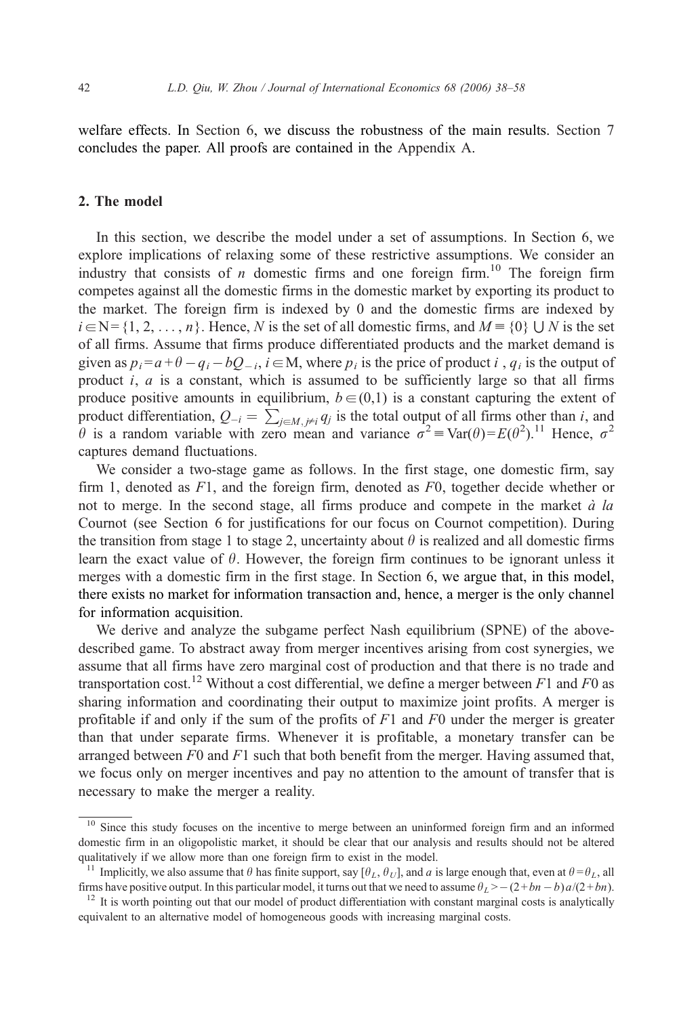welfare effects. In Section 6, we discuss the robustness of the main results. Section 7 concludes the paper. All proofs are contained in the Appendix A.

# 2. The model

In this section, we describe the model under a set of assumptions. In Section 6, we explore implications of relaxing some of these restrictive assumptions. We consider an industry that consists of *n* domestic firms and one foreign firm.<sup>10</sup> The foreign firm competes against all the domestic firms in the domestic market by exporting its product to the market. The foreign firm is indexed by 0 and the domestic firms are indexed by  $i \in \mathbb{N} = \{1, 2, \ldots, n\}$ . Hence, N is the set of all domestic firms, and  $M = \{0\} \cup N$  is the set of all firms. Assume that firms produce differentiated products and the market demand is given as  $p_i = a + \theta - q_i - bQ_{i,i} \in M$ , where  $p_i$  is the price of product i,  $q_i$  is the output of product  $i, a$  is a constant, which is assumed to be sufficiently large so that all firms produce positive amounts in equilibrium,  $b \in (0,1)$  is a constant capturing the extent of product differentiation,  $Q_{-i} = \sum_{j \in M, j \neq i} q_j$  is the total output of all firms other than i, and  $\theta$  is a random variable with zero mean and variance  $\sigma^2 = \text{Var}(\theta) = E(\theta^2)$ .<sup>11</sup> Hence,  $\sigma^2$ captures demand fluctuations.

We consider a two-stage game as follows. In the first stage, one domestic firm, say firm 1, denoted as  $F1$ , and the foreign firm, denoted as  $F0$ , together decide whether or not to merge. In the second stage, all firms produce and compete in the market  $\dot{a}$  la Cournot (see Section 6 for justifications for our focus on Cournot competition). During the transition from stage 1 to stage 2, uncertainty about  $\theta$  is realized and all domestic firms learn the exact value of  $\theta$ . However, the foreign firm continues to be ignorant unless it merges with a domestic firm in the first stage. In Section 6, we argue that, in this model, there exists no market for information transaction and, hence, a merger is the only channel for information acquisition.

We derive and analyze the subgame perfect Nash equilibrium (SPNE) of the abovedescribed game. To abstract away from merger incentives arising from cost synergies, we assume that all firms have zero marginal cost of production and that there is no trade and transportation cost.<sup>12</sup> Without a cost differential, we define a merger between F1 and F0 as sharing information and coordinating their output to maximize joint profits. A merger is profitable if and only if the sum of the profits of  $F1$  and  $F0$  under the merger is greater than that under separate firms. Whenever it is profitable, a monetary transfer can be arranged between  $F0$  and  $F1$  such that both benefit from the merger. Having assumed that, we focus only on merger incentives and pay no attention to the amount of transfer that is necessary to make the merger a reality.

<sup>&</sup>lt;sup>10</sup> Since this study focuses on the incentive to merge between an uninformed foreign firm and an informed domestic firm in an oligopolistic market, it should be clear that our analysis and results should not be altered qualitatively if we allow more than one foreign firm to exist in the model.

<sup>&</sup>lt;sup>11</sup> Implicitly, we also assume that  $\theta$  has finite support, say [ $\theta_L$ ,  $\theta_U$ ], and  $\alpha$  is large enough that, even at  $\theta = \theta_L$ , all

firms have positive output. In this particular model, it turns out that we need to assume  $\theta_L > -(2 + bn - b)a/(2 + bn)$ .<br><sup>12</sup> It is worth pointing out that our model of product differentiation with constant marginal costs is analyti equivalent to an alternative model of homogeneous goods with increasing marginal costs.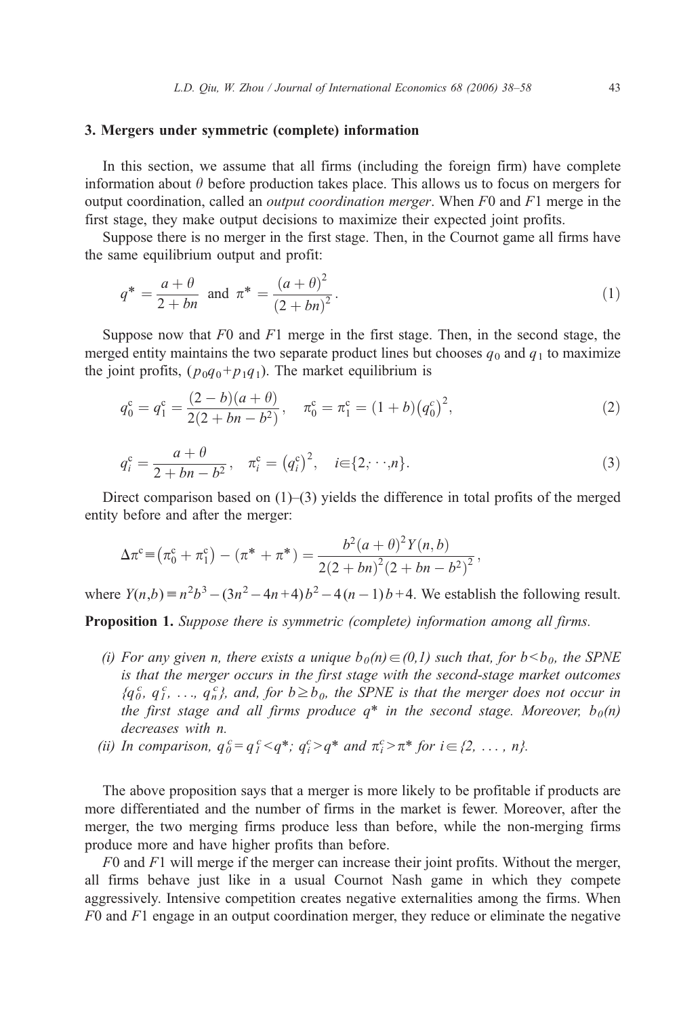## 3. Mergers under symmetric (complete) information

In this section, we assume that all firms (including the foreign firm) have complete information about  $\theta$  before production takes place. This allows us to focus on mergers for output coordination, called an *output coordination merger*. When  $F_0$  and  $F_1$  merge in the first stage, they make output decisions to maximize their expected joint profits.

Suppose there is no merger in the first stage. Then, in the Cournot game all firms have the same equilibrium output and profit:

$$
q^* = \frac{a+\theta}{2+bn} \text{ and } \pi^* = \frac{(a+\theta)^2}{(2+bn)^2}.
$$
 (1)

Suppose now that  $F0$  and  $F1$  merge in the first stage. Then, in the second stage, the merged entity maintains the two separate product lines but chooses  $q_0$  and  $q_1$  to maximize the joint profits,  $(p_0q_0+p_1q_1)$ . The market equilibrium is

$$
q_0^c = q_1^c = \frac{(2-b)(a+\theta)}{2(2+bn-b^2)}, \quad \pi_0^c = \pi_1^c = (1+b)(q_0^c)^2,
$$
 (2)

$$
q_i^c = \frac{a+\theta}{2+bn-b^2}, \quad \pi_i^c = (q_i^c)^2, \quad i \in \{2, \dots, n\}.
$$
 (3)

Direct comparison based on  $(1)$ – $(3)$  yields the difference in total profits of the merged entity before and after the merger:

$$
\Delta \pi^c \equiv (\pi_0^c + \pi_1^c) - (\pi^* + \pi^*) = \frac{b^2(a+\theta)^2 Y(n,b)}{2(2+bn)^2(2+bn-b^2)^2},
$$

where  $Y(n,b) = n^2b^3 - (3n^2 - 4n + 4)b^2 - 4(n-1)b + 4$ . We establish the following result.

Proposition 1. Suppose there is symmetric (complete) information among all firms.

- (i) For any given n, there exists a unique  $b_0(n) \in (0,1)$  such that, for  $b < b_0$ , the SPNE is that the merger occurs in the first stage with the second-stage market outcomes  ${q_0^c, q_1^c, ..., q_n^c}$ , and, for  $b \ge b_0$ , the SPNE is that the merger does not occur in the first stage and all firms produce  $q^*$  in the second stage. Moreover,  $b_0(n)$ decreases with n.
- (ii) In comparison,  $q_0^c = q_1^c < q^*; q_i^c > q^*$  and  $\pi_i^c > \pi^*$  for  $i \in \{2, ..., n\}$ .

The above proposition says that a merger is more likely to be profitable if products are more differentiated and the number of firms in the market is fewer. Moreover, after the merger, the two merging firms produce less than before, while the non-merging firms produce more and have higher profits than before.

 $F0$  and  $F1$  will merge if the merger can increase their joint profits. Without the merger, all firms behave just like in a usual Cournot Nash game in which they compete aggressively. Intensive competition creates negative externalities among the firms. When F0 and F1 engage in an output coordination merger, they reduce or eliminate the negative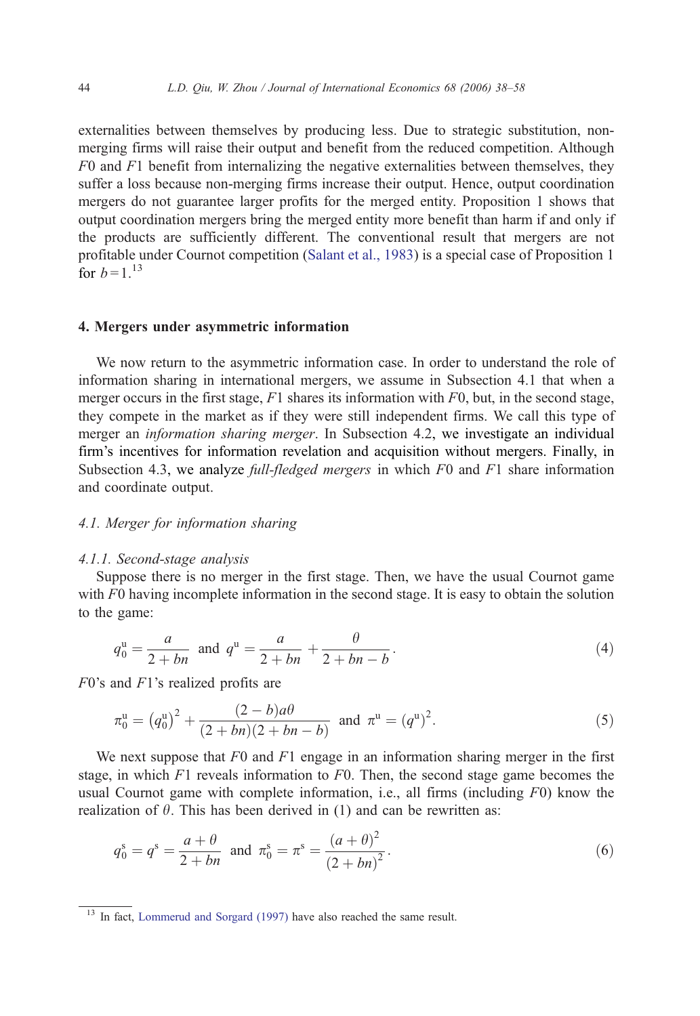externalities between themselves by producing less. Due to strategic substitution, nonmerging firms will raise their output and benefit from the reduced competition. Although F0 and F1 benefit from internalizing the negative externalities between themselves, they suffer a loss because non-merging firms increase their output. Hence, output coordination mergers do not guarantee larger profits for the merged entity. Proposition 1 shows that output coordination mergers bring the merged entity more benefit than harm if and only if the products are sufficiently different. The conventional result that mergers are not profitable under Cournot competition ([Salant et al., 1983\)](#page-20-0) is a special case of Proposition 1 for  $b = 1^{13}$ 

#### 4. Mergers under asymmetric information

We now return to the asymmetric information case. In order to understand the role of information sharing in international mergers, we assume in Subsection 4.1 that when a merger occurs in the first stage,  $F1$  shares its information with  $F0$ , but, in the second stage, they compete in the market as if they were still independent firms. We call this type of merger an *information sharing merger*. In Subsection 4.2, we investigate an individual firm's incentives for information revelation and acquisition without mergers. Finally, in Subsection 4.3, we analyze *full-fledged mergers* in which  $F0$  and  $F1$  share information and coordinate output.

# 4.1. Merger for information sharing

#### 4.1.1. Second-stage analysis

Suppose there is no merger in the first stage. Then, we have the usual Cournot game with  $F0$  having incomplete information in the second stage. It is easy to obtain the solution to the game:

$$
q_0^{\rm u} = \frac{a}{2 + bn} \text{ and } q^{\rm u} = \frac{a}{2 + bn} + \frac{\theta}{2 + bn - b}.
$$
 (4)

 $F0$ 's and  $F1$ 's realized profits are

$$
\pi_0^{\mathrm{u}} = (q_0^{\mathrm{u}})^2 + \frac{(2-b)a\theta}{(2+bn)(2+bn-b)} \text{ and } \pi^{\mathrm{u}} = (q^{\mathrm{u}})^2. \tag{5}
$$

We next suppose that  $F0$  and  $F1$  engage in an information sharing merger in the first stage, in which  $F1$  reveals information to  $F0$ . Then, the second stage game becomes the usual Cournot game with complete information, i.e., all firms (including  $F0$ ) know the realization of  $\theta$ . This has been derived in (1) and can be rewritten as:

$$
q_0^s = q^s = \frac{a+\theta}{2+bn}
$$
 and  $\pi_0^s = \pi^s = \frac{(a+\theta)^2}{(2+bn)^2}$ . (6)

<sup>&</sup>lt;sup>13</sup> In fact, [Lommerud and Sorgard \(1997\)](#page-19-0) have also reached the same result.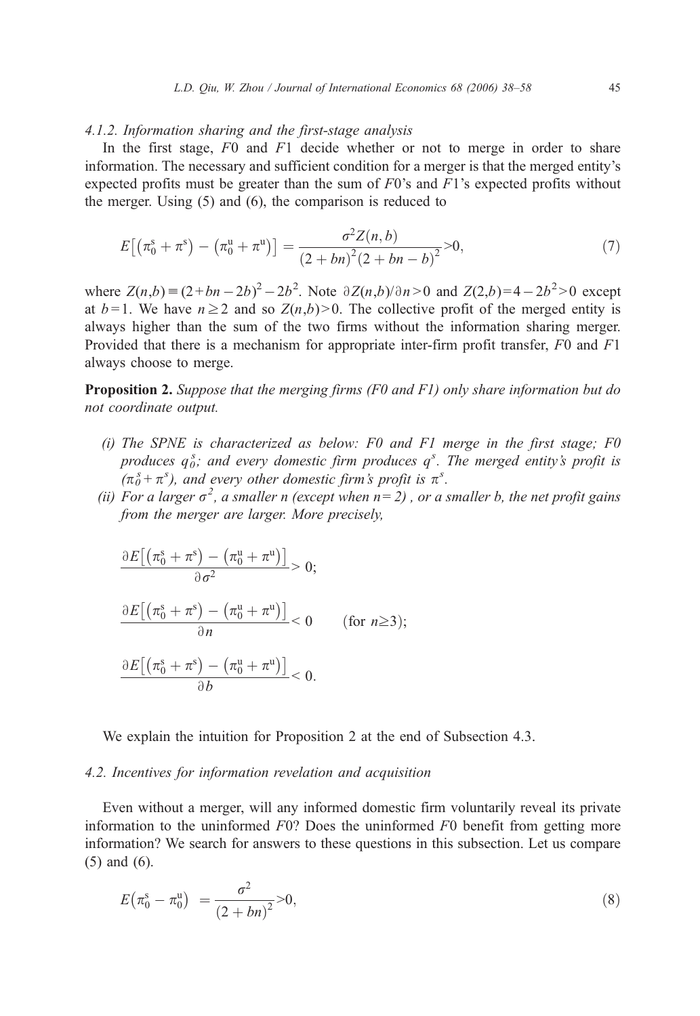## 4.1.2. Information sharing and the first-stage analysis

In the first stage,  $F0$  and  $F1$  decide whether or not to merge in order to share information. The necessary and sufficient condition for a merger is that the merged entity's expected profits must be greater than the sum of  $F0$ 's and  $F1$ 's expected profits without the merger. Using (5) and (6), the comparison is reduced to

$$
E[(\pi_0^s + \pi^s) - (\pi_0^u + \pi^u)] = \frac{\sigma^2 Z(n, b)}{(2 + bn^2 (2 + bn - b)^2} > 0,
$$
\n(7)

where  $Z(n,b) = (2 + bn - 2b)^2 - 2b^2$ . Note  $\partial Z(n,b)/\partial n > 0$  and  $Z(2,b) = 4 - 2b^2 > 0$  except at  $b=1$ . We have  $n \geq 2$  and so  $Z(n,b)>0$ . The collective profit of the merged entity is always higher than the sum of the two firms without the information sharing merger. Provided that there is a mechanism for appropriate inter-firm profit transfer, F0 and F1 always choose to merge.

Proposition 2. Suppose that the merging firms (F0 and F1) only share information but do not coordinate output.

- (i) The SPNE is characterized as below: F0 and F1 merge in the first stage; F0 produces  $q_0^s$ ; and every domestic firm produces  $q^s$ . The merged entity's profit is  $(\pi_0^s + \pi^s)$ , and every other domestic firm's profit is  $\pi^s$ .
- (ii) For a larger  $\sigma^2$ , a smaller n (except when  $n=2$ ), or a smaller b, the net profit gains from the merger are larger. More precisely,

$$
\frac{\partial E\left[\left(\pi_0^s + \pi^s\right) - \left(\pi_0^u + \pi^u\right)\right]}{\partial \sigma^2} > 0;
$$
\n
$$
\frac{\partial E\left[\left(\pi_0^s + \pi^s\right) - \left(\pi_0^u + \pi^u\right)\right]}{\partial n} < 0 \qquad \text{(for } n \ge 3);
$$
\n
$$
\frac{\partial E\left[\left(\pi_0^s + \pi^s\right) - \left(\pi_0^u + \pi^u\right)\right]}{\partial b} < 0.
$$

We explain the intuition for Proposition 2 at the end of Subsection 4.3.

## 4.2. Incentives for information revelation and acquisition

Even without a merger, will any informed domestic firm voluntarily reveal its private information to the uninformed  $F0$ ? Does the uninformed  $F0$  benefit from getting more information? We search for answers to these questions in this subsection. Let us compare (5) and (6).

$$
E(\pi_0^s - \pi_0^u) = \frac{\sigma^2}{(2 + bn)^2} > 0,
$$
\n(8)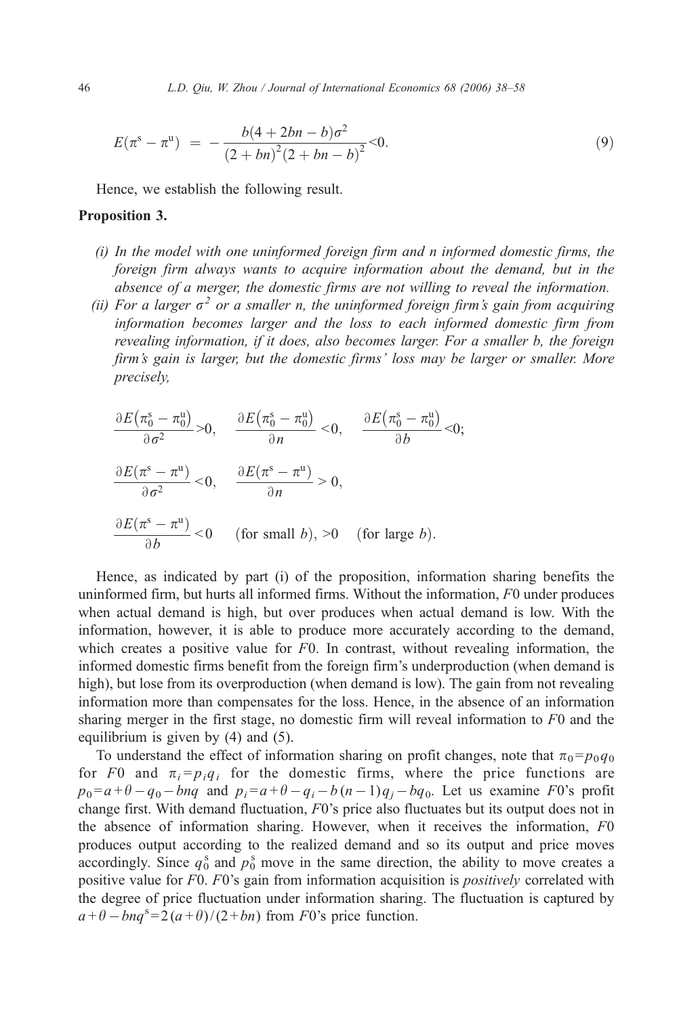$$
E(\pi^s - \pi^u) = -\frac{b(4+2bn-b)\sigma^2}{(2+bn)^2(2+bn-b)^2} < 0.
$$
\n(9)

Hence, we establish the following result.

## Proposition 3.

- (i) In the model with one uninformed foreign firm and n informed domestic firms, the foreign firm always wants to acquire information about the demand, but in the absence of a merger, the domestic firms are not willing to reveal the information.
- (ii) For a larger  $\sigma^2$  or a smaller n, the uninformed foreign firm's gain from acquiring information becomes larger and the loss to each informed domestic firm from revealing information, if it does, also becomes larger. For a smaller b, the foreign firm's gain is larger, but the domestic firms' loss may be larger or smaller. More precisely,

$$
\frac{\partial E(\pi_0^s - \pi_0^u)}{\partial \sigma^2} > 0, \quad \frac{\partial E(\pi_0^s - \pi_0^u)}{\partial n} < 0, \quad \frac{\partial E(\pi_0^s - \pi_0^u)}{\partial b} < 0;
$$
  

$$
\frac{\partial E(\pi^s - \pi^u)}{\partial \sigma^2} < 0, \quad \frac{\partial E(\pi^s - \pi^u)}{\partial n} > 0,
$$
  

$$
\frac{\partial E(\pi^s - \pi^u)}{\partial b} < 0 \quad \text{(for small } b), > 0 \quad \text{(for large } b).
$$

Hence, as indicated by part (i) of the proposition, information sharing benefits the uninformed firm, but hurts all informed firms. Without the information, F0 under produces when actual demand is high, but over produces when actual demand is low. With the information, however, it is able to produce more accurately according to the demand, which creates a positive value for  $F0$ . In contrast, without revealing information, the informed domestic firms benefit from the foreign firm's underproduction (when demand is high), but lose from its overproduction (when demand is low). The gain from not revealing information more than compensates for the loss. Hence, in the absence of an information sharing merger in the first stage, no domestic firm will reveal information to  $F_0$  and the equilibrium is given by (4) and (5).

To understand the effect of information sharing on profit changes, note that  $\pi_0 = p_0 q_0$ for F0 and  $\pi_i = p_i q_i$  for the domestic firms, where the price functions are  $p_0 = a + \theta - q_0 - b n q$  and  $p_i = a + \theta - q_i - b (n - 1) q_i - b q_0$ . Let us examine F0's profit change first. With demand fluctuation, F0's price also fluctuates but its output does not in the absence of information sharing. However, when it receives the information, F0 produces output according to the realized demand and so its output and price moves accordingly. Since  $q_0^s$  and  $p_0^s$  move in the same direction, the ability to move creates a positive value for F0. F0's gain from information acquisition is positively correlated with the degree of price fluctuation under information sharing. The fluctuation is captured by  $a+\theta - b n q^{s} = 2(a+\theta)/(2+bn)$  from F0's price function.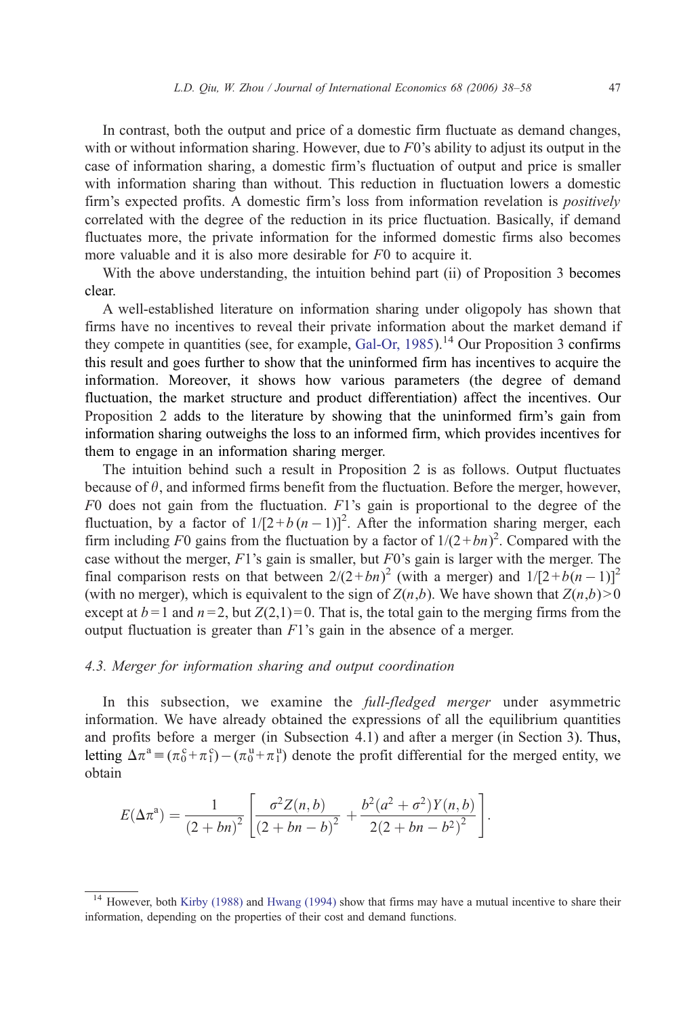In contrast, both the output and price of a domestic firm fluctuate as demand changes, with or without information sharing. However, due to  $F0$ 's ability to adjust its output in the case of information sharing, a domestic firm's fluctuation of output and price is smaller with information sharing than without. This reduction in fluctuation lowers a domestic firm's expected profits. A domestic firm's loss from information revelation is positively correlated with the degree of the reduction in its price fluctuation. Basically, if demand fluctuates more, the private information for the informed domestic firms also becomes more valuable and it is also more desirable for F0 to acquire it.

With the above understanding, the intuition behind part (ii) of Proposition 3 becomes clear.

A well-established literature on information sharing under oligopoly has shown that firms have no incentives to reveal their private information about the market demand if they compete in quantities (see, for example, [Gal-Or, 1985\)](#page-19-0).<sup>14</sup> Our Proposition 3 confirms this result and goes further to show that the uninformed firm has incentives to acquire the information. Moreover, it shows how various parameters (the degree of demand fluctuation, the market structure and product differentiation) affect the incentives. Our Proposition 2 adds to the literature by showing that the uninformed firm's gain from information sharing outweighs the loss to an informed firm, which provides incentives for them to engage in an information sharing merger.

The intuition behind such a result in Proposition 2 is as follows. Output fluctuates because of  $\theta$ , and informed firms benefit from the fluctuation. Before the merger, however,  $F_0$  does not gain from the fluctuation.  $F_1$ 's gain is proportional to the degree of the fluctuation, by a factor of  $1/[2 + b(n-1)]^2$ . After the information sharing merger, each firm including F0 gains from the fluctuation by a factor of  $1/(2 + bn)^2$ . Compared with the case without the merger,  $F1$ 's gain is smaller, but  $F0$ 's gain is larger with the merger. The final comparison rests on that between  $2/(2 + bn)^2$  (with a merger) and  $1/[2 + b(n - 1)]^2$ (with no merger), which is equivalent to the sign of  $Z(n,b)$ . We have shown that  $Z(n,b)$  > 0 except at  $b = 1$  and  $n = 2$ , but  $Z(2,1) = 0$ . That is, the total gain to the merging firms from the output fluctuation is greater than  $F1$ 's gain in the absence of a merger.

#### 4.3. Merger for information sharing and output coordination

In this subsection, we examine the full-fledged merger under asymmetric information. We have already obtained the expressions of all the equilibrium quantities and profits before a merger (in Subsection 4.1) and after a merger (in Section 3). Thus, letting  $\Delta \pi^a = (\pi_0^c + \pi_1^c) - (\pi_0^u + \pi_1^u)$  denote the profit differential for the merged entity, we obtain

$$
E(\Delta \pi^{a}) = \frac{1}{(2 + bn)^{2}} \left[ \frac{\sigma^{2} Z(n, b)}{(2 + bn - b)^{2}} + \frac{b^{2} (a^{2} + \sigma^{2}) Y(n, b)}{2(2 + bn - b^{2})^{2}} \right].
$$

<sup>&</sup>lt;sup>14</sup> However, both [Kirby \(1988\)](#page-19-0) and [Hwang \(1994\)](#page-19-0) show that firms may have a mutual incentive to share their information, depending on the properties of their cost and demand functions.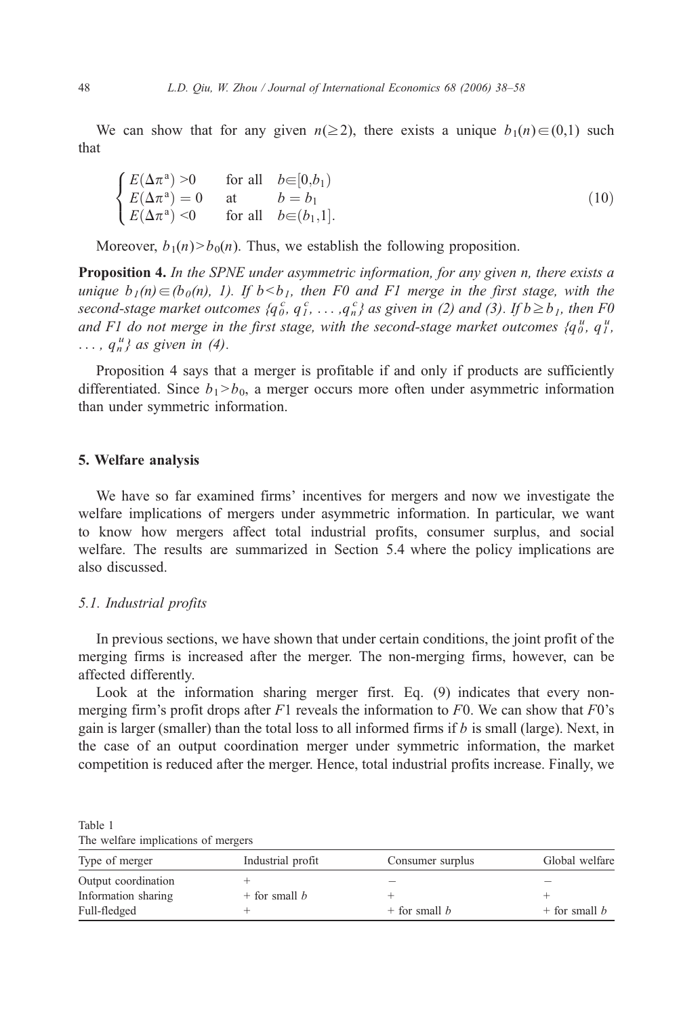<span id="page-10-0"></span>We can show that for any given  $n(\geq 2)$ , there exists a unique  $b_1(n) \in (0,1)$  such that

$$
\begin{cases}\nE(\Delta \pi^a) > 0 & \text{for all} \quad b \in [0, b_1) \\
E(\Delta \pi^a) = 0 & \text{at} \quad b = b_1 \\
E(\Delta \pi^a) < 0 & \text{for all} \quad b \in (b_1, 1].\n\end{cases}
$$
\n(10)

Moreover,  $b_1(n) > b_0(n)$ . Thus, we establish the following proposition.

Proposition 4. In the SPNE under asymmetric information, for any given n, there exists a unique  $b_1(n) \in (b_0(n), 1)$ . If  $b < b_1$ , then F0 and F1 merge in the first stage, with the second-stage market outcomes  $\{q_0^c, q_1^c, \ldots, q_n^c\}$  as given in (2) and (3). If  $b \ge b_1$ , then F0 and F1 do not merge in the first stage, with the second-stage market outcomes  $\{q_0^u, q_1^u,$  $\ldots$ ,  $q_n^u$  as given in (4).

Proposition 4 says that a merger is profitable if and only if products are sufficiently differentiated. Since  $b_1 > b_0$ , a merger occurs more often under asymmetric information than under symmetric information.

#### 5. Welfare analysis

We have so far examined firms' incentives for mergers and now we investigate the welfare implications of mergers under asymmetric information. In particular, we want to know how mergers affect total industrial profits, consumer surplus, and social welfare. The results are summarized in Section 5.4 where the policy implications are also discussed.

#### 5.1. Industrial profits

In previous sections, we have shown that under certain conditions, the joint profit of the merging firms is increased after the merger. The non-merging firms, however, can be affected differently.

Look at the information sharing merger first. Eq. (9) indicates that every nonmerging firm's profit drops after  $F1$  reveals the information to  $F0$ . We can show that  $F0$ 's gain is larger (smaller) than the total loss to all informed firms if  $b$  is small (large). Next, in the case of an output coordination merger under symmetric information, the market competition is reduced after the merger. Hence, total industrial profits increase. Finally, we

Table 1 The welfare implications of mergers

| Type of merger      | Industrial profit | Consumer surplus | Global welfare  |
|---------------------|-------------------|------------------|-----------------|
| Output coordination |                   |                  |                 |
| Information sharing | $+$ for small b   |                  |                 |
| Full-fledged        |                   | $+$ for small b  | $+$ for small b |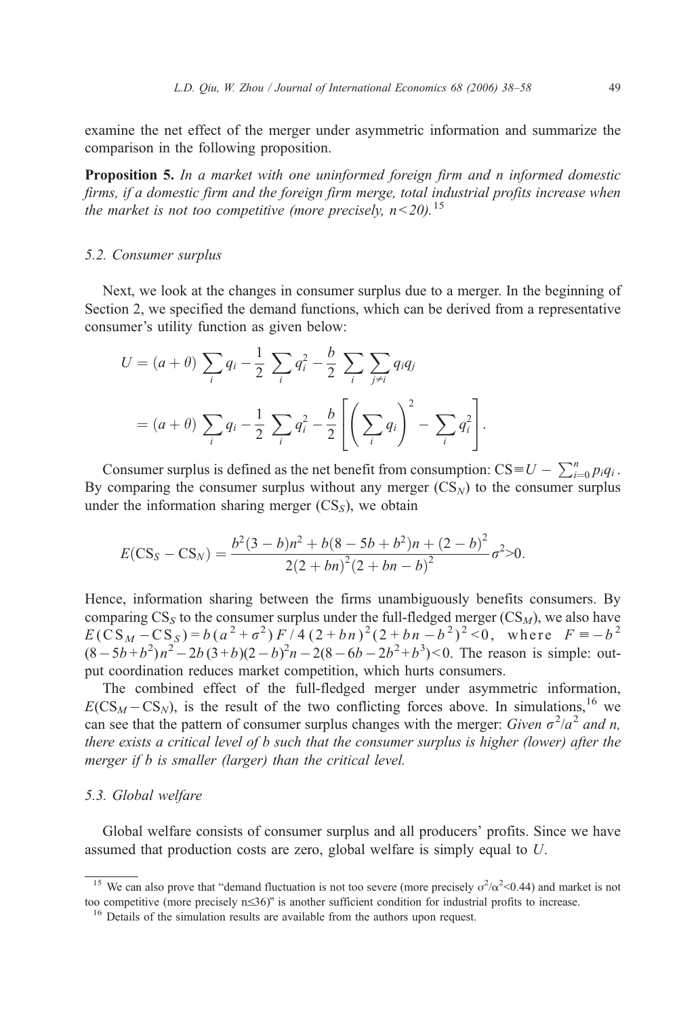examine the net effect of the merger under asymmetric information and summarize the comparison in the following proposition.

Proposition 5. In a market with one uninformed foreign firm and n informed domestic firms, if a domestic firm and the foreign firm merge, total industrial profits increase when the market is not too competitive (more precisely,  $n<20$ ).<sup>15</sup>

## 5.2. Consumer surplus

Next, we look at the changes in consumer surplus due to a merger. In the beginning of Section 2, we specified the demand functions, which can be derived from a representative consumer's utility function as given below:

$$
U = (a + \theta) \sum_{i} q_{i} - \frac{1}{2} \sum_{i} q_{i}^{2} - \frac{b}{2} \sum_{i} \sum_{j \neq i} q_{i} q_{j}
$$
  
=  $(a + \theta) \sum_{i} q_{i} - \frac{1}{2} \sum_{i} q_{i}^{2} - \frac{b}{2} \left[ \left( \sum_{i} q_{i} \right)^{2} - \sum_{i} q_{i}^{2} \right].$ 

Consumer surplus is defined as the net benefit from consumption:  $CS = U - \sum_{i=0}^{n} p_i q_i$ . By comparing the consumer surplus without any merger  $(CS_N)$  to the consumer surplus under the information sharing merger  $(CS<sub>S</sub>)$ , we obtain

$$
E(CS_S - CS_N) = \frac{b^2(3-b)n^2 + b(8-5b+b^2)n + (2-b)^2}{2(2+bn)^2(2+bn-b)^2} \sigma^2 > 0.
$$

Hence, information sharing between the firms unambiguously benefits consumers. By comparing  $CS_S$  to the consumer surplus under the full-fledged merger  $(CS_M)$ , we also have  $E(CS_M - CS_S) = b(a^2 + \sigma^2) F/4 (2 + bn)^2 (2 + bn - b^2)^2 < 0$ , where  $F = -b^2$  $(8-5b+b^2)n^2-2b(3+b)(2-b)^2n-2(8-6b-2b^2+b^3)$ <0. The reason is simple: output coordination reduces market competition, which hurts consumers.

The combined effect of the full-fledged merger under asymmetric information,  $E(CS_M - CS_N)$ , is the result of the two conflicting forces above. In simulations,<sup>16</sup> we can see that the pattern of consumer surplus changes with the merger: Given  $\sigma^2/a^2$  and n, there exists a critical level of b such that the consumer surplus is higher (lower) after the merger if *b* is smaller (larger) than the critical level.

# 5.3. Global welfare

Global welfare consists of consumer surplus and all producers' profits. Since we have assumed that production costs are zero, global welfare is simply equal to U.

<sup>&</sup>lt;sup>15</sup> We can also prove that "demand fluctuation is not too severe (more precisely  $\sigma^2/\alpha^2 < 0.44$ ) and market is not too competitive (more precisely  $n\leq36$ )" is another sufficient condition for industrial profits to increase.

<sup>&</sup>lt;sup>16</sup> Details of the simulation results are available from the authors upon request.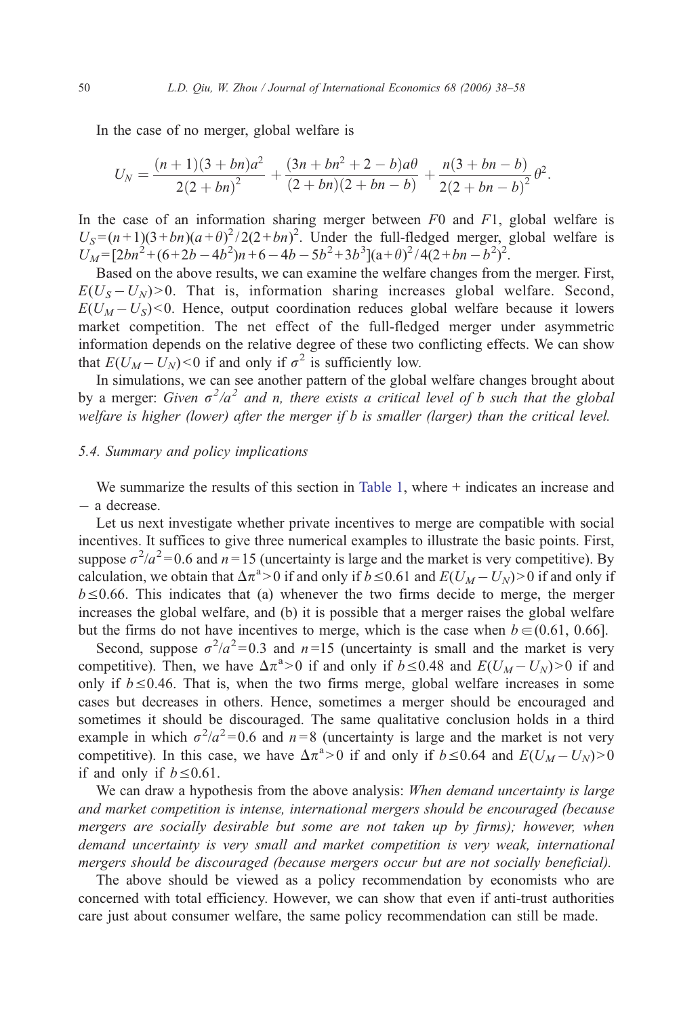In the case of no merger, global welfare is

$$
U_N = \frac{(n+1)(3+bn)a^2}{2(2+bn)^2} + \frac{(3n+bn^2+2-b)a\theta}{(2+bn)(2+bn-b)} + \frac{n(3+bn-b)}{2(2+bn-b)^2}\theta^2.
$$

In the case of an information sharing merger between  $F_0$  and  $F_1$ , global welfare is  $U_s = (n+1)(3+bn)(a+\theta)^2/2(2+bn)^2$ . Under the full-fledged merger, global welfare is  $U_M = [2bn^2 + (6+2b-4b^2)n + 6-4b-5b^2+3b^3](a+\theta)^2/4(2+bn-b^2)^2$ .

Based on the above results, we can examine the welfare changes from the merger. First,  $E(U<sub>S</sub> - U<sub>N</sub>) > 0$ . That is, information sharing increases global welfare. Second,  $E(U_M - U_S) \leq 0$ . Hence, output coordination reduces global welfare because it lowers market competition. The net effect of the full-fledged merger under asymmetric information depends on the relative degree of these two conflicting effects. We can show that  $E(U_M - U_N) \leq 0$  if and only if  $\sigma^2$  is sufficiently low.

In simulations, we can see another pattern of the global welfare changes brought about by a merger: Given  $\sigma^2/a^2$  and n, there exists a critical level of b such that the global welfare is higher (lower) after the merger if b is smaller (larger) than the critical level.

#### 5.4. Summary and policy implications

We summarize the results of this section in [Table 1,](#page-10-0) where  $+$  indicates an increase and a decrease.

Let us next investigate whether private incentives to merge are compatible with social incentives. It suffices to give three numerical examples to illustrate the basic points. First, suppose  $\sigma^2/a^2$  = 0.6 and n = 15 (uncertainty is large and the market is very competitive). By calculation, we obtain that  $\Delta \pi^a > 0$  if and only if  $b \le 0.61$  and  $E(U_M - U_N) > 0$  if and only if  $b \le 0.66$ . This indicates that (a) whenever the two firms decide to merge, the merger increases the global welfare, and (b) it is possible that a merger raises the global welfare but the firms do not have incentives to merge, which is the case when  $b \in (0.61, 0.66]$ .

Second, suppose  $\sigma^2/a^2 = 0.3$  and  $n = 15$  (uncertainty is small and the market is very competitive). Then, we have  $\Delta \pi^a > 0$  if and only if  $b \le 0.48$  and  $E(U_M - U_N) > 0$  if and only if  $b \le 0.46$ . That is, when the two firms merge, global welfare increases in some cases but decreases in others. Hence, sometimes a merger should be encouraged and sometimes it should be discouraged. The same qualitative conclusion holds in a third example in which  $\sigma^2/a^2 = 0.6$  and  $n = 8$  (uncertainty is large and the market is not very competitive). In this case, we have  $\Delta \pi^2 > 0$  if and only if  $b \le 0.64$  and  $E(U_M - U_N) > 0$ if and only if  $b \le 0.61$ .

We can draw a hypothesis from the above analysis: When demand uncertainty is large and market competition is intense, international mergers should be encouraged (because mergers are socially desirable but some are not taken up by firms); however, when demand uncertainty is very small and market competition is very weak, international mergers should be discouraged (because mergers occur but are not socially beneficial).

The above should be viewed as a policy recommendation by economists who are concerned with total efficiency. However, we can show that even if anti-trust authorities care just about consumer welfare, the same policy recommendation can still be made.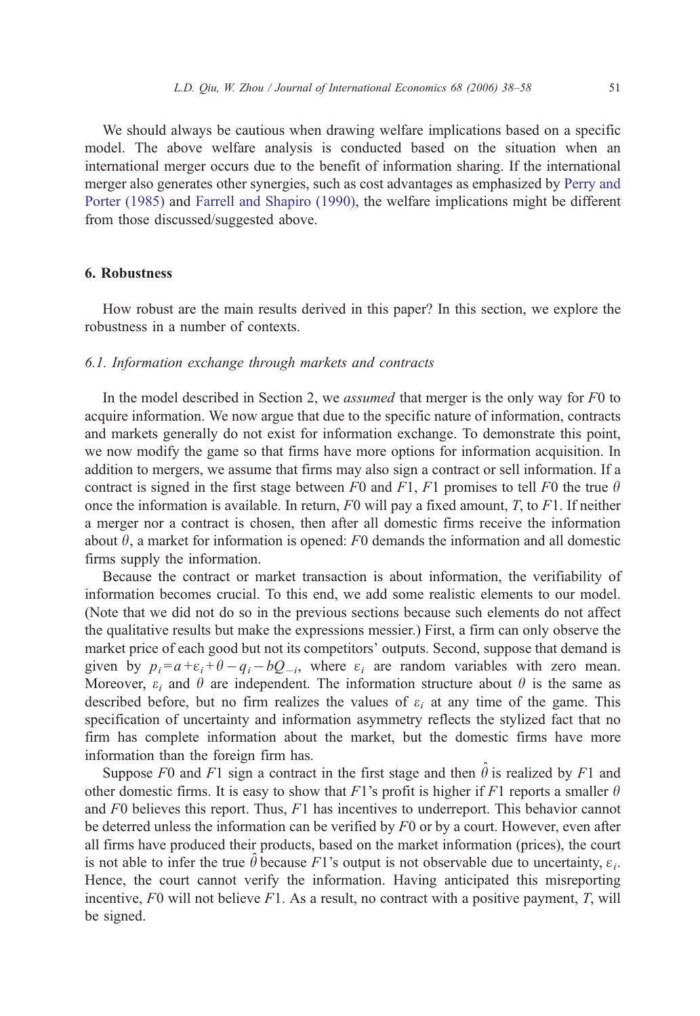We should always be cautious when drawing welfare implications based on a specific model. The above welfare analysis is conducted based on the situation when an international merger occurs due to the benefit of information sharing. If the international merger also generates other synergies, such as cost advantages as emphasized by [Perry and](#page-20-0) Porter (1985) and [Farrell and Shapiro \(1990\),](#page-19-0) the welfare implications might be different from those discussed/suggested above.

# 6. Robustness

How robust are the main results derived in this paper? In this section, we explore the robustness in a number of contexts.

# 6.1. Information exchange through markets and contracts

In the model described in Section 2, we *assumed* that merger is the only way for F0 to acquire information. We now argue that due to the specific nature of information, contracts and markets generally do not exist for information exchange. To demonstrate this point, we now modify the game so that firms have more options for information acquisition. In addition to mergers, we assume that firms may also sign a contract or sell information. If a contract is signed in the first stage between F0 and F1, F1 promises to tell F0 the true  $\theta$ once the information is available. In return,  $F0$  will pay a fixed amount,  $T$ , to  $F1$ . If neither a merger nor a contract is chosen, then after all domestic firms receive the information about  $\theta$ , a market for information is opened: F0 demands the information and all domestic firms supply the information.

Because the contract or market transaction is about information, the verifiability of information becomes crucial. To this end, we add some realistic elements to our model. (Note that we did not do so in the previous sections because such elements do not affect the qualitative results but make the expressions messier.) First, a firm can only observe the market price of each good but not its competitors' outputs. Second, suppose that demand is given by  $p_i = a + \varepsilon_i + \theta - q_i - bQ_{-i}$ , where  $\varepsilon_i$  are random variables with zero mean. Moreover,  $\varepsilon_i$  and  $\theta$  are independent. The information structure about  $\theta$  is the same as described before, but no firm realizes the values of  $\varepsilon_i$  at any time of the game. This specification of uncertainty and information asymmetry reflects the stylized fact that no firm has complete information about the market, but the domestic firms have more information than the foreign firm has.

Suppose F0 and F1 sign a contract in the first stage and then  $\hat{\theta}$  is realized by F1 and other domestic firms. It is easy to show that F1's profit is higher if F1 reports a smaller  $\theta$ and F0 believes this report. Thus, F1 has incentives to underreport. This behavior cannot be deterred unless the information can be verified by F0 or by a court. However, even after all firms have produced their products, based on the market information (prices), the court is not able to infer the true  $\hat{\theta}$  because F1's output is not observable due to uncertainty,  $\varepsilon_i$ . Hence, the court cannot verify the information. Having anticipated this misreporting incentive,  $F0$  will not believe  $F1$ . As a result, no contract with a positive payment,  $T$ , will be signed.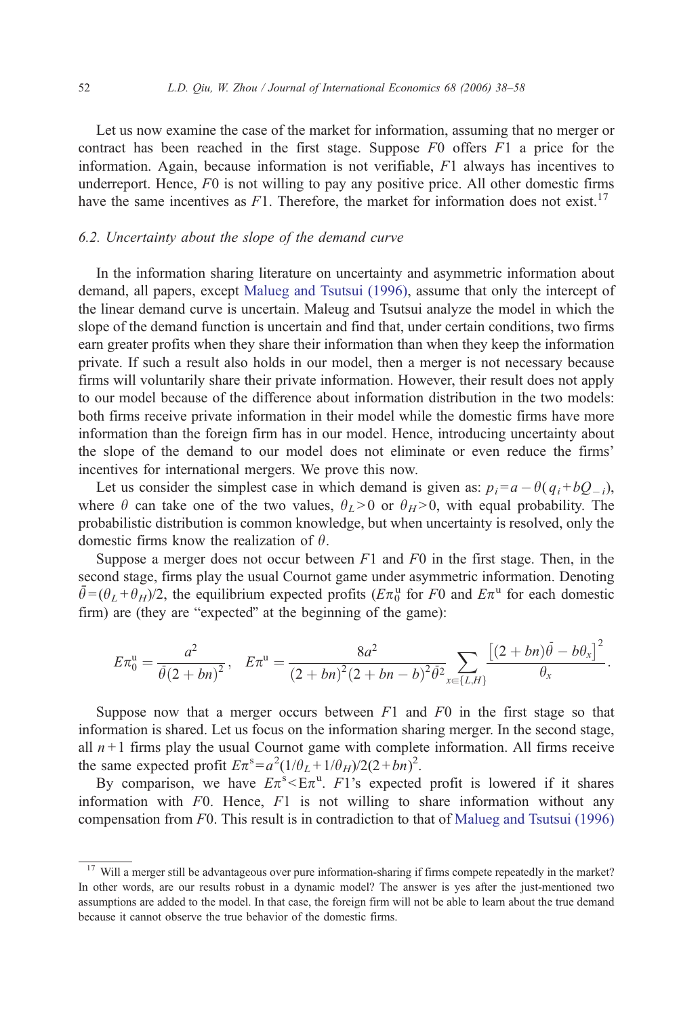Let us now examine the case of the market for information, assuming that no merger or contract has been reached in the first stage. Suppose  $F_0$  offers  $F_1$  a price for the information. Again, because information is not verifiable,  $F1$  always has incentives to underreport. Hence,  $F0$  is not willing to pay any positive price. All other domestic firms have the same incentives as  $F1$ . Therefore, the market for information does not exist.<sup>17</sup>

#### 6.2. Uncertainty about the slope of the demand curve

In the information sharing literature on uncertainty and asymmetric information about demand, all papers, except [Malueg and Tsutsui \(1996\),](#page-20-0) assume that only the intercept of the linear demand curve is uncertain. Maleug and Tsutsui analyze the model in which the slope of the demand function is uncertain and find that, under certain conditions, two firms earn greater profits when they share their information than when they keep the information private. If such a result also holds in our model, then a merger is not necessary because firms will voluntarily share their private information. However, their result does not apply to our model because of the difference about information distribution in the two models: both firms receive private information in their model while the domestic firms have more information than the foreign firm has in our model. Hence, introducing uncertainty about the slope of the demand to our model does not eliminate or even reduce the firms' incentives for international mergers. We prove this now.

Let us consider the simplest case in which demand is given as:  $p_i = a - \theta(q_i + bQ_{-i}),$ where  $\theta$  can take one of the two values,  $\theta_L > 0$  or  $\theta_H > 0$ , with equal probability. The probabilistic distribution is common knowledge, but when uncertainty is resolved, only the domestic firms know the realization of  $\theta$ .

Suppose a merger does not occur between  $F1$  and  $F0$  in the first stage. Then, in the second stage, firms play the usual Cournot game under asymmetric information. Denoting  $\bar{\theta} = (\theta_L + \theta_H)/2$ , the equilibrium expected profits ( $E\pi_0^u$  for F0 and  $E\pi^u$  for each domestic firm) are (they are "expected" at the beginning of the game):

$$
E\pi_0^{\rm u}=\frac{a^2}{\bar{\theta}(2+bn)^2}, \quad E\pi^{\rm u}=\frac{8a^2}{(2+bn)^2(2+bn-b)^2\bar{\theta}^2}\sum_{x\in\{L,H\}}\frac{\left[(2+bn)\bar{\theta}-b\theta_x\right]^2}{\theta_x}.
$$

Suppose now that a merger occurs between  $F1$  and  $F0$  in the first stage so that information is shared. Let us focus on the information sharing merger. In the second stage, all  $n+1$  firms play the usual Cournot game with complete information. All firms receive the same expected profit  $E\pi^s = a^2(1/\theta_L + 1/\theta_H)/2(2 + bn)^2$ .

By comparison, we have  $E\pi^s \leq E\pi^u$ . F1's expected profit is lowered if it shares information with  $F0$ . Hence,  $F1$  is not willing to share information without any compensation from F0. This result is in contradiction to that of [Malueg and Tsutsui \(1996\)](#page-20-0)

<sup>&</sup>lt;sup>17</sup> Will a merger still be advantageous over pure information-sharing if firms compete repeatedly in the market? In other words, are our results robust in a dynamic model? The answer is yes after the just-mentioned two assumptions are added to the model. In that case, the foreign firm will not be able to learn about the true demand because it cannot observe the true behavior of the domestic firms.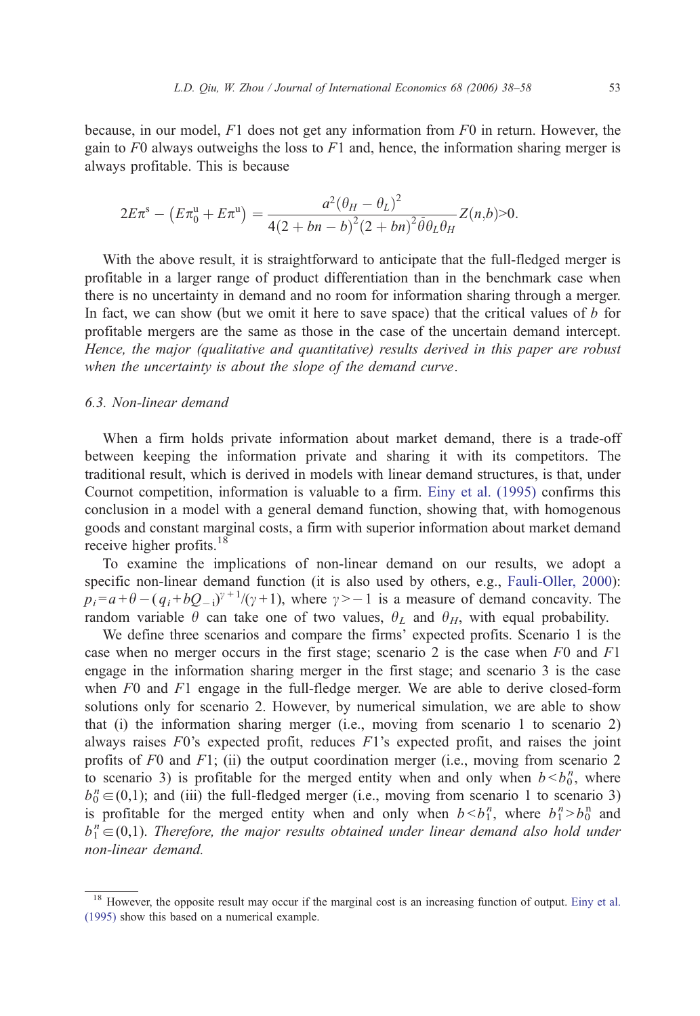because, in our model,  $F1$  does not get any information from  $F0$  in return. However, the gain to  $F_0$  always outweighs the loss to  $F_1$  and, hence, the information sharing merger is always profitable. This is because

$$
2E\pi^{s} - (E\pi^{u}_{0} + E\pi^{u}) = \frac{a^{2}(\theta_{H} - \theta_{L})^{2}}{4(2 + bn - b)^{2}(2 + bn)^{2}\bar{\theta}\theta_{L}\theta_{H}}Z(n,b) > 0.
$$

With the above result, it is straightforward to anticipate that the full-fledged merger is profitable in a larger range of product differentiation than in the benchmark case when there is no uncertainty in demand and no room for information sharing through a merger. In fact, we can show (but we omit it here to save space) that the critical values of  $\bar{b}$  for profitable mergers are the same as those in the case of the uncertain demand intercept. Hence, the major (qualitative and quantitative) results derived in this paper are robust when the uncertainty is about the slope of the demand curve.

#### 6.3. Non-linear demand

When a firm holds private information about market demand, there is a trade-off between keeping the information private and sharing it with its competitors. The traditional result, which is derived in models with linear demand structures, is that, under Cournot competition, information is valuable to a firm. [Einy et al. \(1995\)](#page-19-0) confirms this conclusion in a model with a general demand function, showing that, with homogenous goods and constant marginal costs, a firm with superior information about market demand receive higher profits.<sup>18</sup>

To examine the implications of non-linear demand on our results, we adopt a specific non-linear demand function (it is also used by others, e.g., [Fauli-Oller, 2000\)](#page-19-0):  $p_i = a + \theta - (q_i + bQ_{-i})^{\gamma+1}/(\gamma+1)$ , where  $\gamma > -1$  is a measure of demand concavity. The random variable  $\hat{\theta}$  can take one of two values,  $\theta_L$  and  $\theta_H$ , with equal probability.

We define three scenarios and compare the firms' expected profits. Scenario 1 is the case when no merger occurs in the first stage; scenario 2 is the case when  $F0$  and  $F1$ engage in the information sharing merger in the first stage; and scenario 3 is the case when  $F0$  and  $F1$  engage in the full-fledge merger. We are able to derive closed-form solutions only for scenario 2. However, by numerical simulation, we are able to show that (i) the information sharing merger (i.e., moving from scenario 1 to scenario 2) always raises  $F0$ 's expected profit, reduces  $F1$ 's expected profit, and raises the joint profits of  $F0$  and  $F1$ ; (ii) the output coordination merger (i.e., moving from scenario 2 to scenario 3) is profitable for the merged entity when and only when  $b < b_0^n$ , where  $b_0^n \in (0,1)$ ; and (iii) the full-fledged merger (i.e., moving from scenario 1 to scenario 3) is profitable for the merged entity when and only when  $b \lt b_1^n$ , where  $b_1^n > b_0^n$  and  $b_1^n \in (0,1)$ . Therefore, the major results obtained under linear demand also hold under non-linear demand.

<sup>&</sup>lt;sup>18</sup> However, the opposite result may occur if the marginal cost is an increasing function of output. [Einy et al.](#page-19-0) (1995) show this based on a numerical example.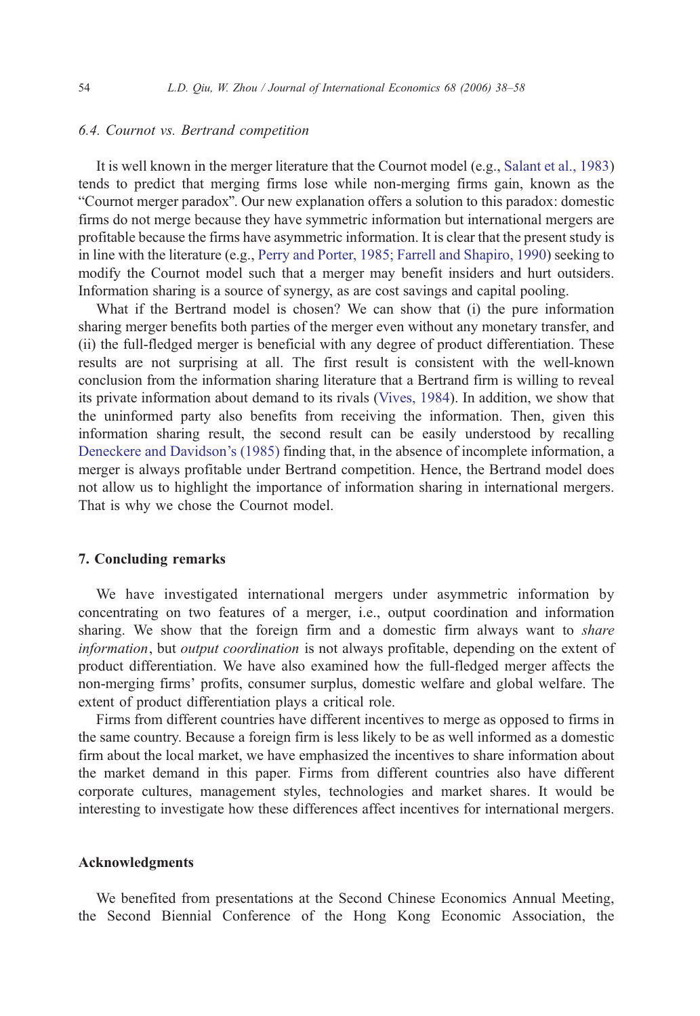## 6.4. Cournot vs. Bertrand competition

It is well known in the merger literature that the Cournot model (e.g., [Salant et al., 1983\)](#page-20-0) tends to predict that merging firms lose while non-merging firms gain, known as the "Cournot merger paradox". Our new explanation offers a solution to this paradox: domestic firms do not merge because they have symmetric information but international mergers are profitable because the firms have asymmetric information. It is clear that the present study is in line with the literature (e.g., [Perry and Porter, 1985; Farrell and Shapiro, 1990\)](#page-20-0) seeking to modify the Cournot model such that a merger may benefit insiders and hurt outsiders. Information sharing is a source of synergy, as are cost savings and capital pooling.

What if the Bertrand model is chosen? We can show that (i) the pure information sharing merger benefits both parties of the merger even without any monetary transfer, and (ii) the full-fledged merger is beneficial with any degree of product differentiation. These results are not surprising at all. The first result is consistent with the well-known conclusion from the information sharing literature that a Bertrand firm is willing to reveal its private information about demand to its rivals ([Vives, 1984\)](#page-20-0). In addition, we show that the uninformed party also benefits from receiving the information. Then, given this information sharing result, the second result can be easily understood by recalling [Deneckere and Davidson's \(1985\)](#page-19-0) finding that, in the absence of incomplete information, a merger is always profitable under Bertrand competition. Hence, the Bertrand model does not allow us to highlight the importance of information sharing in international mergers. That is why we chose the Cournot model.

#### 7. Concluding remarks

We have investigated international mergers under asymmetric information by concentrating on two features of a merger, i.e., output coordination and information sharing. We show that the foreign firm and a domestic firm always want to *share* information, but output coordination is not always profitable, depending on the extent of product differentiation. We have also examined how the full-fledged merger affects the non-merging firms' profits, consumer surplus, domestic welfare and global welfare. The extent of product differentiation plays a critical role.

Firms from different countries have different incentives to merge as opposed to firms in the same country. Because a foreign firm is less likely to be as well informed as a domestic firm about the local market, we have emphasized the incentives to share information about the market demand in this paper. Firms from different countries also have different corporate cultures, management styles, technologies and market shares. It would be interesting to investigate how these differences affect incentives for international mergers.

#### Acknowledgments

We benefited from presentations at the Second Chinese Economics Annual Meeting, the Second Biennial Conference of the Hong Kong Economic Association, the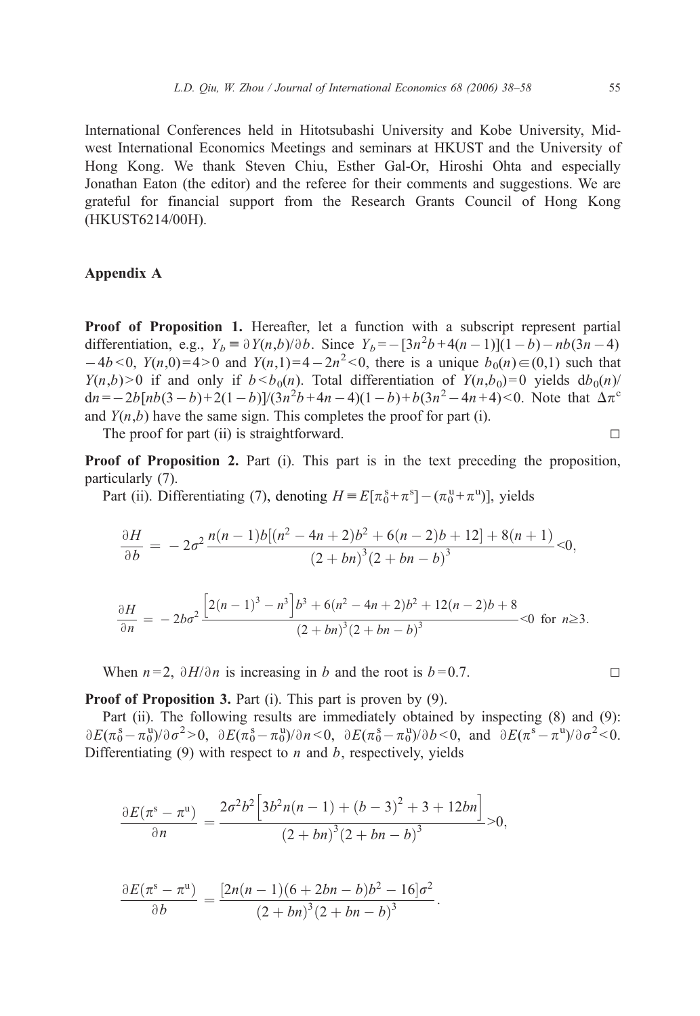International Conferences held in Hitotsubashi University and Kobe University, Midwest International Economics Meetings and seminars at HKUST and the University of Hong Kong. We thank Steven Chiu, Esther Gal-Or, Hiroshi Ohta and especially Jonathan Eaton (the editor) and the referee for their comments and suggestions. We are grateful for financial support from the Research Grants Council of Hong Kong (HKUST6214/00H).

Appendix A

Proof of Proposition 1. Hereafter, let a function with a subscript represent partial differentiation, e.g.,  $Y_b = \partial Y(n,b)/\partial b$ . Since  $Y_b = -[3n^2b + 4(n-1)](1-b) - nb(3n-4)$  $-4b < 0$ ,  $Y(n,0) = 4>0$  and  $Y(n,1) = 4-2n^2 < 0$ , there is a unique  $b_0(n) \in (0,1)$  such that  $Y(n,b) > 0$  if and only if  $b < b<sub>0</sub>(n)$ . Total differentiation of  $Y(n,b<sub>0</sub>) = 0$  yields  $db<sub>0</sub>(n)/2$  $dn = -2b[nb(3-b)+2(1-b)]/(3n^2b+4n-4)(1-b)+b(3n^2-4n+4)<0$ . Note that  $\Delta \pi^c$ and  $Y(n,b)$  have the same sign. This completes the proof for part (i).

The proof for part (ii) is straightforward.  $\square$ 

**Proof of Proposition 2.** Part (i). This part is in the text preceding the proposition, particularly (7).

Part (ii). Differentiating (7), denoting  $H = E[\pi_0^s + \pi_s^s] - (\pi_0^u + \pi_u^u)$ , yields

$$
\frac{\partial H}{\partial b} = -2\sigma^2 \frac{n(n-1)b[(n^2 - 4n + 2)b^2 + 6(n-2)b + 12] + 8(n+1)}{(2+bn)^3(2+bn-b)^3} < 0,
$$

$$
\frac{\partial H}{\partial n} = -2b\sigma^2 \frac{\left[2(n-1)^3 - n^3\right]b^3 + 6(n^2 - 4n + 2)b^2 + 12(n-2)b + 8}{(2 + bn^3)(2 + bn - b)^3} < 0 \text{ for } n \ge 3.
$$

When  $n=2$ ,  $\partial H/\partial n$  is increasing in b and the root is  $b=0.7$ .

$$
\Box
$$

Proof of Proposition 3. Part (i). This part is proven by (9).

Part (ii). The following results are immediately obtained by inspecting (8) and (9):  $\partial E(\pi_{0}^{s}-\pi_{0}^{u})/\partial \sigma^{2} > 0$ ,  $\partial E(\pi_{0}^{s}-\pi_{0}^{u})/\partial n < 0$ ,  $\partial E(\pi_{0}^{s}-\pi_{0}^{u})/\partial b < 0$ , and  $\partial E(\pi^{s}-\pi^{u})/\partial \sigma^{2} < 0$ . Differentiating (9) with respect to  $n$  and  $b$ , respectively, yields

$$
\frac{\partial E(\pi^s - \pi^u)}{\partial n} = \frac{2\sigma^2 b^2 \left[3b^2 n(n-1) + (b-3)^2 + 3 + 12bn\right]}{(2 + bn)^3 (2 + bn - b)^3} > 0,
$$

$$
\frac{\partial E(\pi^s - \pi^u)}{\partial b} = \frac{[2n(n-1)(6+2bn-b)b^2 - 16]\sigma^2}{(2+bn)^3(2+bn-b)^3}.
$$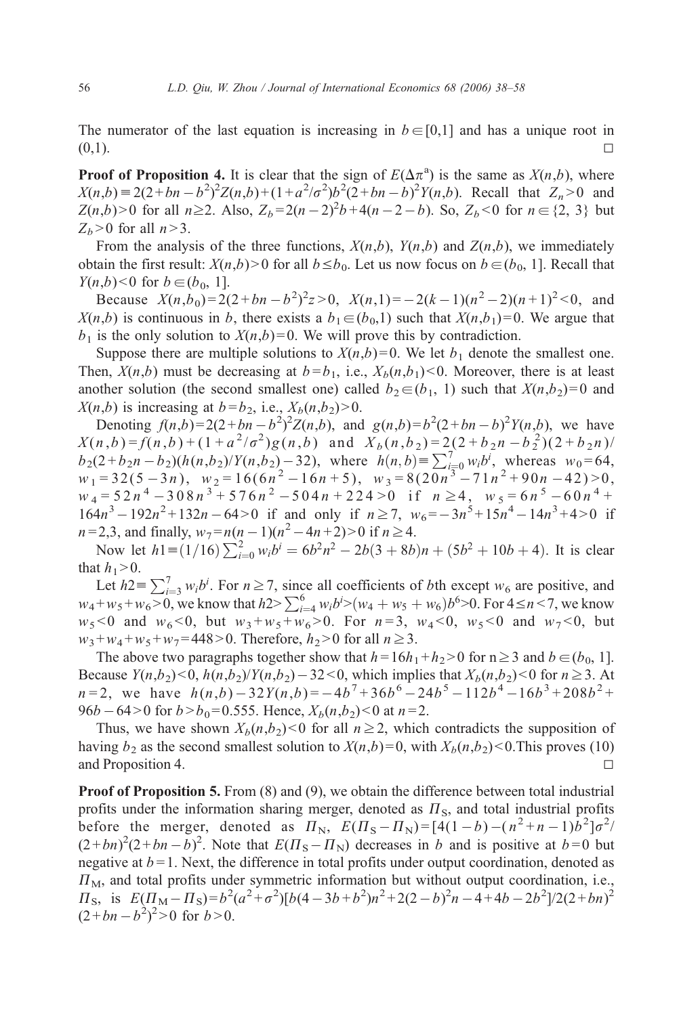The numerator of the last equation is increasing in  $b \in [0,1]$  and has a unique root in  $(0,1).$ 

**Proof of Proposition 4.** It is clear that the sign of  $E(\Delta \pi^a)$  is the same as  $X(n,b)$ , where  $X(n,b) = 2(2 + bn - b^2)^2 Z(n,b) + (1 + a^2/\sigma^2) b^2 (2 + bn - b)^2 Y(n,b)$ . Recall that  $Z_n > 0$  and  $Z(n,b) > 0$  for all  $n \ge 2$ . Also,  $Z_b = 2(n-2)^2b + 4(n-2-b)$ . So,  $Z_b < 0$  for  $n \in \{2, 3\}$  but  $Z_b > 0$  for all  $n > 3$ .

From the analysis of the three functions,  $X(n,b)$ ,  $Y(n,b)$  and  $Z(n,b)$ , we immediately obtain the first result:  $X(n,b) > 0$  for all  $b \le b_0$ . Let us now focus on  $b \in (b_0, 1]$ . Recall that  $Y(n,b) < 0$  for  $b \in (b_0, 1]$ .

Because  $X(n, b_0) = 2(2 + bn - b^2)^2 z > 0$ ,  $X(n, 1) = -2(k - 1)(n^2 - 2)(n + 1)^2 < 0$ , and  $X(n,b)$  is continuous in b, there exists a  $b_1 \in (b_0,1)$  such that  $X(n,b_1) = 0$ . We argue that  $b_1$  is the only solution to  $X(n,b)=0$ . We will prove this by contradiction.

Suppose there are multiple solutions to  $X(n,b)=0$ . We let  $b_1$  denote the smallest one. Then,  $X(n,b)$  must be decreasing at  $b = b_1$ , i.e.,  $X_b(n,b_1) < 0$ . Moreover, there is at least another solution (the second smallest one) called  $b_2 \in (b_1, 1)$  such that  $X(n,b_2)=0$  and  $X(n,b)$  is increasing at  $b = b_2$ , i.e.,  $X_b(n,b_2) > 0$ .

Denoting  $f(n,b)=2(2+bn-b^2)^2Z(n,b)$ , and  $g(n,b)=b^2(2+bn-b)^2Y(n,b)$ , we have  $X(n,b)=f(n,b)+(1+a^2/\sigma^2)g(n,b)$  and  $X_b(n,b_2)=2(2+b_2n-b_2^2)(2+b_2n)$  $b_2(2 + b_2n - b_2)(h(n, b_2)/Y(n, b_2) - 32)$ , where  $h(n, b) = \sum_{i=0}^{7} w_i b^i$ , whereas  $w_0 = 64$ ,  $w_1 = 32(5-3n), \quad w_2 = 16(6n^2 - 16n + 5), \quad w_3 = 8(20n^3 - 71n^2 + 90n - 42) > 0,$  $w_4 = 52n^4 - 308n^3 + 576n^2 - 504n + 224 > 0$  if  $n \ge 4$ ,  $w_5 = 6n^5 - 60n^4 + 56n^3$  $164n^3 - 192n^2 + 132n - 64 > 0$  if and only if  $n \ge 7$ ,  $w_6 = -3n^5 + 15n^4 - 14n^3 + 4 > 0$  if  $n=2,3$ , and finally,  $w_7=n(n-1)(n^2-4n+2)>0$  if  $n\geq 4$ .

Now let  $h1 = (1/16) \sum_{i=0}^{2} w_i b^i = 6b^2n^2 - 2b(3 + 8b)n + (5b^2 + 10b + 4)$ . It is clear that  $h_1>0$ .

Let  $h2 = \sum_{i=3}^{7} w_i b^i$ . For  $n \ge 7$ , since all coefficients of bth except  $w_6$  are positive, and  $w_4 + w_5 + w_6 > 0$ , we know that  $h2 > \sum_{i=4}^{6} w_i b^i > (w_4 + w_5 + w_6) b^6 > 0$ . For  $4 \le n < 7$ , we know  $w_5 < 0$  and  $w_6 < 0$ , but  $w_3 + w_5 + w_6 > 0$ . For  $n = 3$ ,  $w_4 < 0$ ,  $w_5 < 0$  and  $w_7 < 0$ , but  $w_3 + w_4 + w_5 + w_7 = 448 > 0$ . Therefore,  $h_2 > 0$  for all  $n \ge 3$ .

The above two paragraphs together show that  $h = 16h_1 + h_2 > 0$  for  $n \ge 3$  and  $b \in (b_0, 1]$ . Because  $Y(n,b_2) < 0$ ,  $h(n,b_2)/Y(n,b_2) - 32 < 0$ , which implies that  $X_b(n,b_2) < 0$  for  $n \ge 3$ . At  $n=2$ , we have  $h(n,b)-32Y(n,b) = -4b^7 + 36b^6 - 24b^5 - 112b^4 - 16b^3 + 208b^2 +$  $96b - 64 > 0$  for  $b > b_0 = 0.555$ . Hence,  $X_b(n, b_2) < 0$  at  $n = 2$ .

Thus, we have shown  $X_b(n,b_2)$ <0 for all  $n \ge 2$ , which contradicts the supposition of having  $b_2$  as the second smallest solution to  $X(n,b)=0$ , with  $X_b(n,b_2)$ <0. This proves (10) and Proposition 4.  $\Box$ 

Proof of Proposition 5. From (8) and (9), we obtain the difference between total industrial profits under the information sharing merger, denoted as  $\Pi$ <sub>S</sub>, and total industrial profits before the merger, denoted as  $\Pi_N$ ,  $E(\Pi_S - \Pi_N) = [4(1-b) - (n^2 + n - 1)b^2]\sigma^2$  $(2 + bn)^2 (2 + bn - b)^2$ . Note that  $E(\Pi_S - \Pi_N)$  decreases in b and is positive at  $b = 0$  but negative at  $b = 1$ . Next, the difference in total profits under output coordination, denoted as  $\Pi_{\rm M}$ , and total profits under symmetric information but without output coordination, i.e.,  $\Pi_{\rm S}$ , is  $E(\Pi_{\rm M} - \Pi_{\rm S}) = b^2(a^2 + \sigma^2)[b(4 - 3b + b^2)n^2 + 2(2 - b)^2n - 4 + 4b - 2b^2]/2(2 + bn)^2$  $(2+bn-b^2)^2>0$  for  $b>0$ .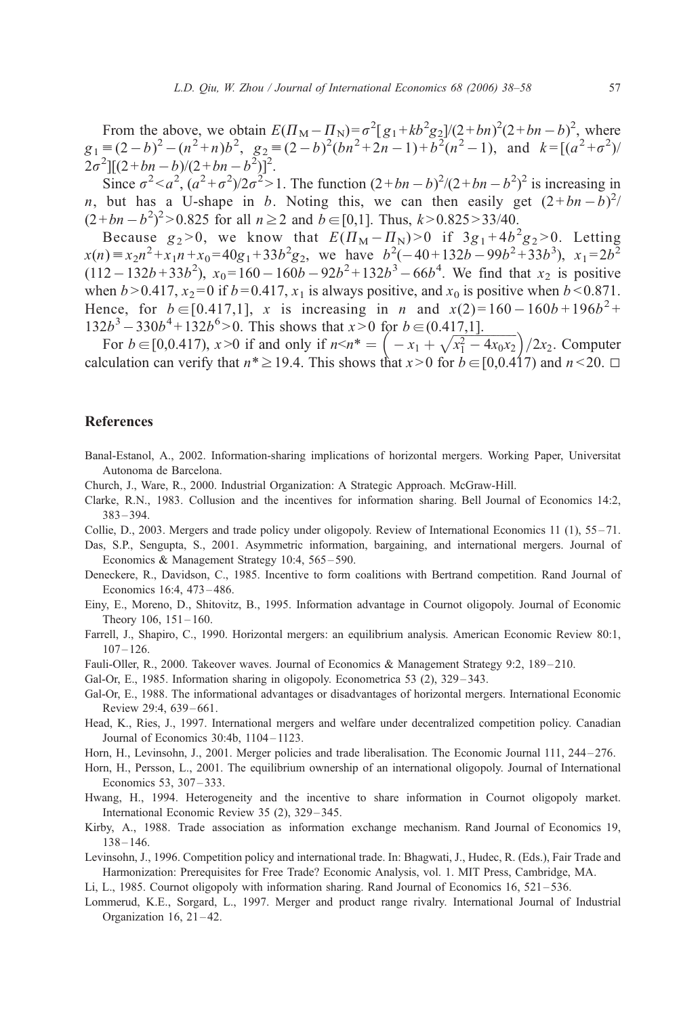<span id="page-19-0"></span>From the above, we obtain  $E(H_M - H_N) = \sigma^2 [g_1 + kb^2 g_2] / (2 + bn^2 (2 + bn - b)^2)$ , where  $g_1 = (2-b)^2 - (n^2+n)b^2$ ,  $g_2 = (2-b)^2(bn^2+2n-1) + b^2(n^2-1)$ , and  $k = [(a^2+\sigma^2)/a]$  $\left[2\sigma^2\right] \left[(2+bn-b)/(2+bn-b^2)\right]^2$ .

Since  $\sigma^2 < a^2$ ,  $(a^2 + \sigma^2)/2\sigma^2 > 1$ . The function  $(2 + bn - b)^2/(2 + bn - b^2)^2$  is increasing in *n*, but has a U-shape in *b*. Noting this, we can then easily get  $(2 + bn - b)^2$  $(2 + bn - b^2)^2 > 0.825$  for all  $n \ge 2$  and  $b \in [0,1]$ . Thus,  $k > 0.825 > 33/40$ .

Because  $g_2 > 0$ , we know that  $E(H_M - H_N) > 0$  if  $3g_1 + 4b^2g_2 > 0$ . Letting  $x(n) = x_2n^2 + x_1n + x_0 = 40g_1 + 33b^2g_2$ , we have  $b^2(-40 + 132b - 99b^2 + 33b^3)$ ,  $x_1 = 2b^2$  $(112 - 132b + 33b^2)$ ,  $x_0 = 160 - 160b - 92b^2 + 132b^3 - 66b^4$ . We find that  $x_2$  is positive when  $b > 0.417$ ,  $x_2 = 0$  if  $b = 0.417$ ,  $x_1$  is always positive, and  $x_0$  is positive when  $b < 0.871$ . Hence, for  $b \in [0.417,1]$ , x is increasing in n and  $x(2) = 160 - 160b + 196b^2 +$  $132b^3 - 330b^4 + 132b^6 > 0$ . This shows that  $x > 0$  for  $b \in (0.417,1]$ .

 $2b^2 - 330b^2 + 132b^2 > 0$ . This shows that  $x > 0$  for  $b \in (0.417,1]$ .<br>For  $b \in [0,0.417)$ ,  $x > 0$  if and only if  $n < n^* = \left(-x_1 + \sqrt{x_1^2 - 4x_0x_2}\right)/2x_2$ . Computer calculation can verify that  $n^* \ge 19.4$ . This shows that  $x > 0$  for  $b \in [0,0.417)$  and  $n < 20$ .  $\Box$ 

#### References

- Banal-Estanol, A., 2002. Information-sharing implications of horizontal mergers. Working Paper, Universitat Autonoma de Barcelona.
- Church, J., Ware, R., 2000. Industrial Organization: A Strategic Approach. McGraw-Hill.
- Clarke, R.N., 1983. Collusion and the incentives for information sharing. Bell Journal of Economics 14:2, 383 – 394.
- Collie, D., 2003. Mergers and trade policy under oligopoly. Review of International Economics 11 (1), 55–71.
- Das, S.P., Sengupta, S., 2001. Asymmetric information, bargaining, and international mergers. Journal of Economics & Management Strategy 10:4, 565 – 590.
- Deneckere, R., Davidson, C., 1985. Incentive to form coalitions with Bertrand competition. Rand Journal of Economics 16:4, 473 – 486.
- Einy, E., Moreno, D., Shitovitz, B., 1995. Information advantage in Cournot oligopoly. Journal of Economic Theory 106,  $151 - 160$ .
- Farrell, J., Shapiro, C., 1990. Horizontal mergers: an equilibrium analysis. American Economic Review 80:1,  $107 - 126$ .
- Fauli-Oller, R., 2000. Takeover waves. Journal of Economics & Management Strategy 9:2, 189 210.
- Gal-Or, E., 1985. Information sharing in oligopoly. Econometrica 53 (2), 329 343.
- Gal-Or, E., 1988. The informational advantages or disadvantages of horizontal mergers. International Economic Review 29:4, 639-661.
- Head, K., Ries, J., 1997. International mergers and welfare under decentralized competition policy. Canadian Journal of Economics 30:4b, 1104 – 1123.
- Horn, H., Levinsohn, J., 2001. Merger policies and trade liberalisation. The Economic Journal 111, 244–276.
- Horn, H., Persson, L., 2001. The equilibrium ownership of an international oligopoly. Journal of International Economics 53, 307 – 333.
- Hwang, H., 1994. Heterogeneity and the incentive to share information in Cournot oligopoly market. International Economic Review 35 (2), 329 – 345.
- Kirby, A., 1988. Trade association as information exchange mechanism. Rand Journal of Economics 19, 138 – 146.
- Levinsohn, J., 1996. Competition policy and international trade. In: Bhagwati, J., Hudec, R. (Eds.), Fair Trade and Harmonization: Prerequisites for Free Trade? Economic Analysis, vol. 1. MIT Press, Cambridge, MA.
- Li, L., 1985. Cournot oligopoly with information sharing. Rand Journal of Economics 16, 521 536.
- Lommerud, K.E., Sorgard, L., 1997. Merger and product range rivalry. International Journal of Industrial Organization 16,  $21 - 42$ .